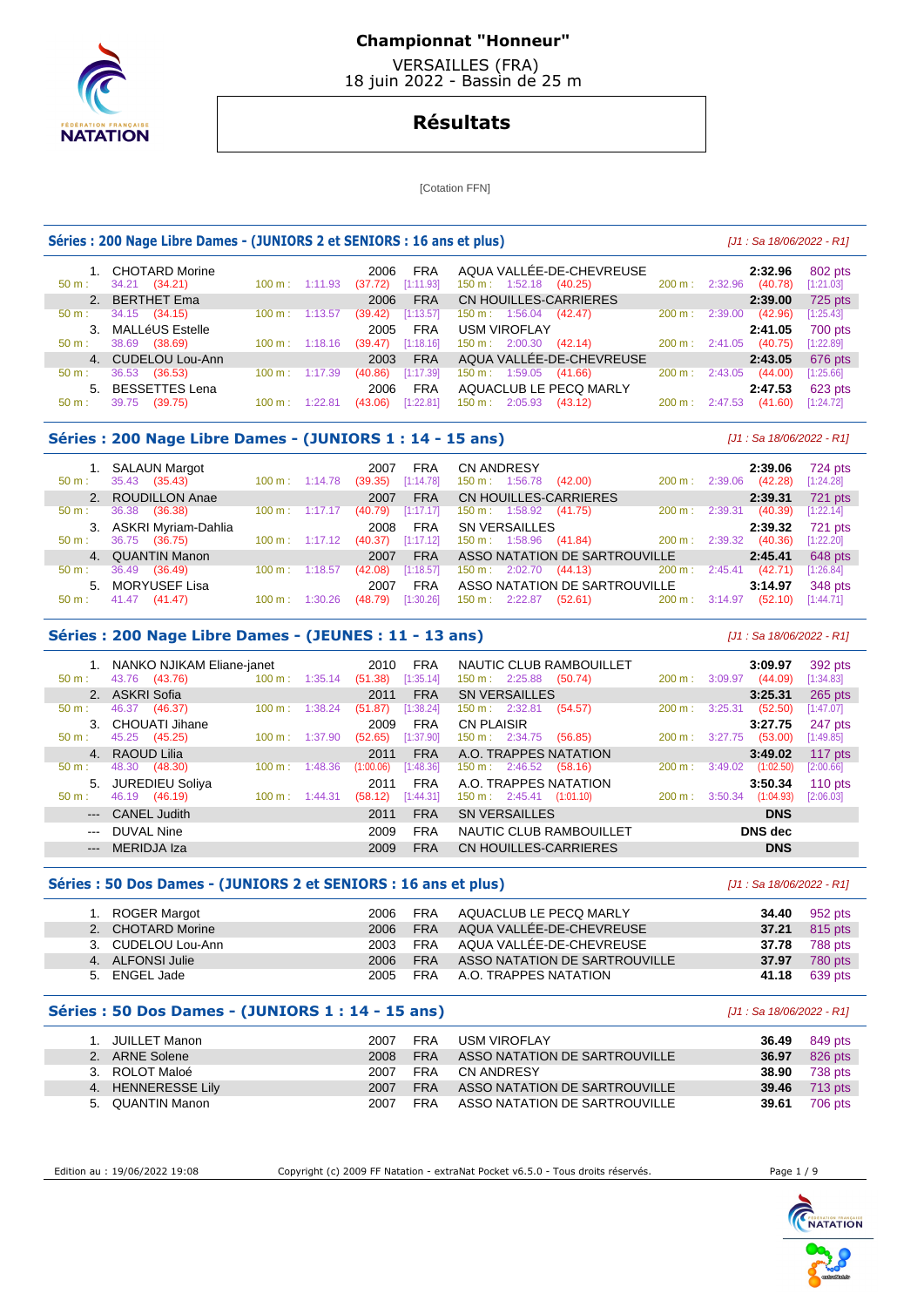

 VERSAILLES (FRA) 18 juin 2022 - Bassin de 25 m

# **Résultats**

[Cotation FFN]

## **Séries : 200 Nage Libre Dames - (JUNIORS 2 et SENIORS : 16 ans et plus)** [J1 : Sa 18/06/2022 - R1]

| $50 \text{ m}$ : | 1. CHOTARD Morine<br>34.21 (34.21) | $100 \text{ m}$ : 1:11.93 |         | 2006<br>(37.72) | <b>FRA</b><br>[1:11.93] | 150 m: 1:52.18            | AQUA VALLÉE-DE-CHEVREUSE<br>(40.25) | $200 \text{ m}$ : | 2:32.96 | 2:32.96<br>(40.78) | 802 pts<br>[1:21.03] |
|------------------|------------------------------------|---------------------------|---------|-----------------|-------------------------|---------------------------|-------------------------------------|-------------------|---------|--------------------|----------------------|
|                  | 2. BERTHET Ema                     |                           |         | 2006            | <b>FRA</b>              | CN HOUILLES-CARRIERES     |                                     |                   |         | 2:39.00            | 725 pts              |
| $50 \text{ m}$ : | 34.15 (34.15)                      | $100 \text{ m}$ :         | 1:13.57 | (39.42)         | [1:13.57]               | 150 m: 1:56.04            | (42.47)                             | 200 m:            | 2:39.00 | (42.96)            | [1:25.43]            |
|                  | 3. MALLéUS Estelle                 |                           |         | 2005            | <b>FRA</b>              | <b>USM VIROFLAY</b>       |                                     |                   |         | 2:41.05            | 700 pts              |
| $50 \text{ m}$ : | 38.69<br>(38.69)                   | $100 \text{ m}$ : 1:18.16 |         | (39.47)         | [1:18.16]               | $150 \text{ m}: 2:00.30$  | (42.14)                             | $200 \text{ m}$ : | 2:41.05 | (40.75)            | [1:22.89]            |
|                  | 4. CUDELOU Lou-Ann                 |                           |         | 2003            | <b>FRA</b>              |                           | AQUA VALLÉE-DE-CHEVREUSE            |                   |         | 2:43.05            | 676 pts              |
| $50 m$ :         | 36.53<br>(36.53)                   | $100 \text{ m}$ :         | 1:17.39 | (40.86)         | [1:17.39]               | 150 m: 1:59.05            | (41.66)                             | 200 m:            | 2:43.05 | (44.00)            | [1:25.66]            |
|                  | 5. BESSETTES Lena                  |                           |         | 2006            | <b>FRA</b>              | AQUACLUB LE PECQ MARLY    |                                     |                   |         | 2:47.53            | 623 pts              |
| $50 m$ :         | 39.75<br>(39.75)                   | 100 m:                    |         | (43.06)         | [1:22.81]               | $150 \text{ m}$ : 2:05.93 | (43.12)                             | 200 m:            | 2:47.53 | (41.60)            | [1:24.72]            |

## **Séries : 200 Nage Libre Dames - (JUNIORS 1 : 14 - 15 ans)** [J1 : Sa 18/06/2022 - R1]

| 1. SALAUN Margot<br>35.43 (35.43)<br>$50 \text{ m}$ : | $100 \text{ m}: 1:14.78$     | <b>FRA</b><br>2007<br>[1:14.78]<br>(39.35) | <b>CN ANDRESY</b><br>150 m: 1:56.78<br>(42.00)<br>200 m: | 2:39.06<br>724 pts<br>(42.28)<br>[1:24.28]<br>2:39.06 |  |
|-------------------------------------------------------|------------------------------|--------------------------------------------|----------------------------------------------------------|-------------------------------------------------------|--|
| 2. ROUDILLON Anae                                     |                              | <b>FRA</b><br>2007                         | CN HOUILLES-CARRIERES                                    | 2:39.31<br>721 pts                                    |  |
| 36.38<br>(36.38)<br>50 m:                             | $100 \text{ m}$ :<br>1:17.17 | [1:17.17]<br>(40.79)                       | $150 \text{ m}: 1:58.92$ (41.75)<br>200 m:               | (40.39)<br>[1:22.14]<br>2:39.31                       |  |
| 3. ASKRI Myriam-Dahlia                                |                              | 2008<br><b>FRA</b>                         | SN VERSAILLES                                            | 2:39.32<br>721 pts                                    |  |
| 36.75<br>(36.75)<br>$50 \text{ m}$ :                  | $100 \text{ m}: 1:17.12$     | [1:17.12]<br>(40.37)                       | 150 m : 1:58.96 (41.84)<br>$200 \text{ m}$ :             | (40.36)<br>[1:22.20]<br>2:39.32                       |  |
| 4. QUANTIN Manon                                      |                              | <b>FRA</b><br>2007                         | ASSO NATATION DE SARTROUVILLE                            | 2:45.41<br>648 pts                                    |  |
| 36.49<br>(36.49)<br>$50 m$ :                          | $100 \text{ m}$ :<br>1:18.57 | [1:18.57]<br>(42.08)                       | $200 \text{ m}$ :<br>2:02.70<br>150 m:<br>(44.13)        | (42.71)<br>2:45.41<br>[1:26.84]                       |  |
| 5. MORYUSEF Lisa                                      |                              | <b>FRA</b><br>2007                         | ASSO NATATION DE SARTROUVILLE                            | 3:14.97<br>348 pts                                    |  |
| 41.47<br>(41.47)<br>$50 \text{ m}$ :                  | $100 \text{ m}$ : 1:30.26    | [1:30.26]<br>(48.79)                       | 200 m : 3:14.97<br>150 m : 2:22.87 (52.61)               | (52.10)<br>[1:44.71]                                  |  |

### **Séries : 200 Nage Libre Dames - (JEUNES : 11 - 13 ans)** [J1 : Sa 18/06/2022 - R1]

| $50 \text{ m}$ :     | 1. NANKO NJIKAM Eliane-janet<br>43.76 (43.76) | 100 m: 1:35.14            |         | 2010<br>(51.38)   | <b>FRA</b><br>[1:35.14]  | $150 \text{ m}: 2:25.88$                          | NAUTIC CLUB RAMBOUILLET<br>(50.74) | 200 m:    | 3:09.97 | 3:09.97<br>(44.09)    | 392 pts<br>[1:34.83]   |
|----------------------|-----------------------------------------------|---------------------------|---------|-------------------|--------------------------|---------------------------------------------------|------------------------------------|-----------|---------|-----------------------|------------------------|
|                      | 2. ASKRI Sofia                                |                           |         | 2011              | <b>FRA</b>               | <b>SN VERSAILLES</b>                              |                                    |           |         | 3:25.31               | 265 pts                |
| $50 \text{ m}$ :     | 46.37 (46.37)<br>3. CHOUATI Jihane            | 100 m:                    | 1:38.24 | (51.87)<br>2009   | [1:38.24]<br><b>FRA</b>  | $150 \text{ m}: 2:32.81$<br><b>CN PLAISIR</b>     | (54.57)                            | $200 m$ : | 3:25.31 | (52.50)<br>3:27.75    | [1:47.07]<br>247 pts   |
| $50 \text{ m}$ :     | 45.25 (45.25)<br>4. RAOUD Lilia               | $100 \text{ m}$ :         | 1:37.90 | (52.65)<br>2011   | [1:37.90]<br><b>FRA</b>  | $150 \text{ m}: 2:34.75$<br>A.O. TRAPPES NATATION | (56.85)                            | $200 m$ : | 3:27.75 | (53.00)<br>3:49.02    | [1:49.85]<br>117 $pts$ |
| 50 m:                | (48.30)<br>48.30<br>5. JUREDIEU Soliya        | $100 \text{ m}$ :         | 1:48.36 | (1:00.06)<br>2011 | [1:48.36]<br><b>FRA</b>  | $150 \text{ m}: 2:46.52$<br>A.O. TRAPPES NATATION | (58.16)                            | 200 m:    | 3:49.02 | (1:02.50)<br>3:50.34  | [2:00.66]<br>110 $pts$ |
| $50 m$ :             | 46.19 (46.19)                                 | $100 \text{ m}$ : 1:44.31 |         | (58.12)           | [1:44.31]                | $150 \text{ m}: 2:45.41 (1:01.10)$                |                                    | 200 m:    | 3:50.34 | (1:04.93)             | [2:06.03]              |
| $\sim$ $\sim$ $\sim$ | --- CANEL Judith<br>DUVAL Nine                |                           |         | 2011<br>2009      | <b>FRA</b><br><b>FRA</b> | <b>SN VERSAILLES</b>                              | NAUTIC CLUB RAMBOUILLET            |           |         | <b>DNS</b><br>DNS dec |                        |
|                      | --- MERIDJA Iza                               |                           |         | 2009              | <b>FRA</b>               | CN HOUILLES-CARRIERES                             |                                    |           |         | <b>DNS</b>            |                        |

#### **Séries : 50 Dos Dames - (JUNIORS 2 et SENIORS : 16 ans et plus)** [J1 : Sa 18/06/2022 - R1]

| 1. ROGER Margot    | 2006 | FRA        | AQUACLUB LE PECQ MARLY        | 34.40 | 952 pts |
|--------------------|------|------------|-------------------------------|-------|---------|
| 2. CHOTARD Morine  | 2006 | <b>FRA</b> | AQUA VALLÉE-DE-CHEVREUSE      | 37.21 | 815 pts |
| 3. CUDELOU Lou-Ann | 2003 | <b>FRA</b> | AQUA VALLÉE-DE-CHEVREUSE      | 37.78 | 788 pts |
| 4. ALFONSI Julie   | 2006 | <b>FRA</b> | ASSO NATATION DE SARTROUVILLE | 37.97 | 780 pts |
| 5. ENGEL Jade      | 2005 | <b>FRA</b> | A.O. TRAPPES NATATION         | 41.18 | 639 pts |

### **Séries : 50 Dos Dames - (JUNIORS 1 : 14 - 15 ans)** [J1 : Sa 18/06/2022 - R1]

| . JUILLET Manon    | 2007 | FRA        | <b>USM VIROFLAY</b>           | 36.49 | 849 pts              |
|--------------------|------|------------|-------------------------------|-------|----------------------|
| 2. ARNE Solene     | 2008 | <b>FRA</b> | ASSO NATATION DE SARTROUVILLE | 36.97 | 826 pts              |
| 3. ROLOT Maloé     | 2007 | <b>FRA</b> | CN ANDRESY                    | 38.90 | 738 pts              |
| 4. HENNERESSE Lily | 2007 | <b>FRA</b> | ASSO NATATION DE SARTROUVILLE |       | <b>39.46</b> 713 pts |
| 5. QUANTIN Manon   | 2007 | <b>FRA</b> | ASSO NATATION DE SARTROUVILLE | 39.61 | 706 pts              |

Edition au : 19/06/2022 19:08 Copyright (c) 2009 FF Natation - extraNat Pocket v6.5.0 - Tous droits réservés. Page 1 / 9

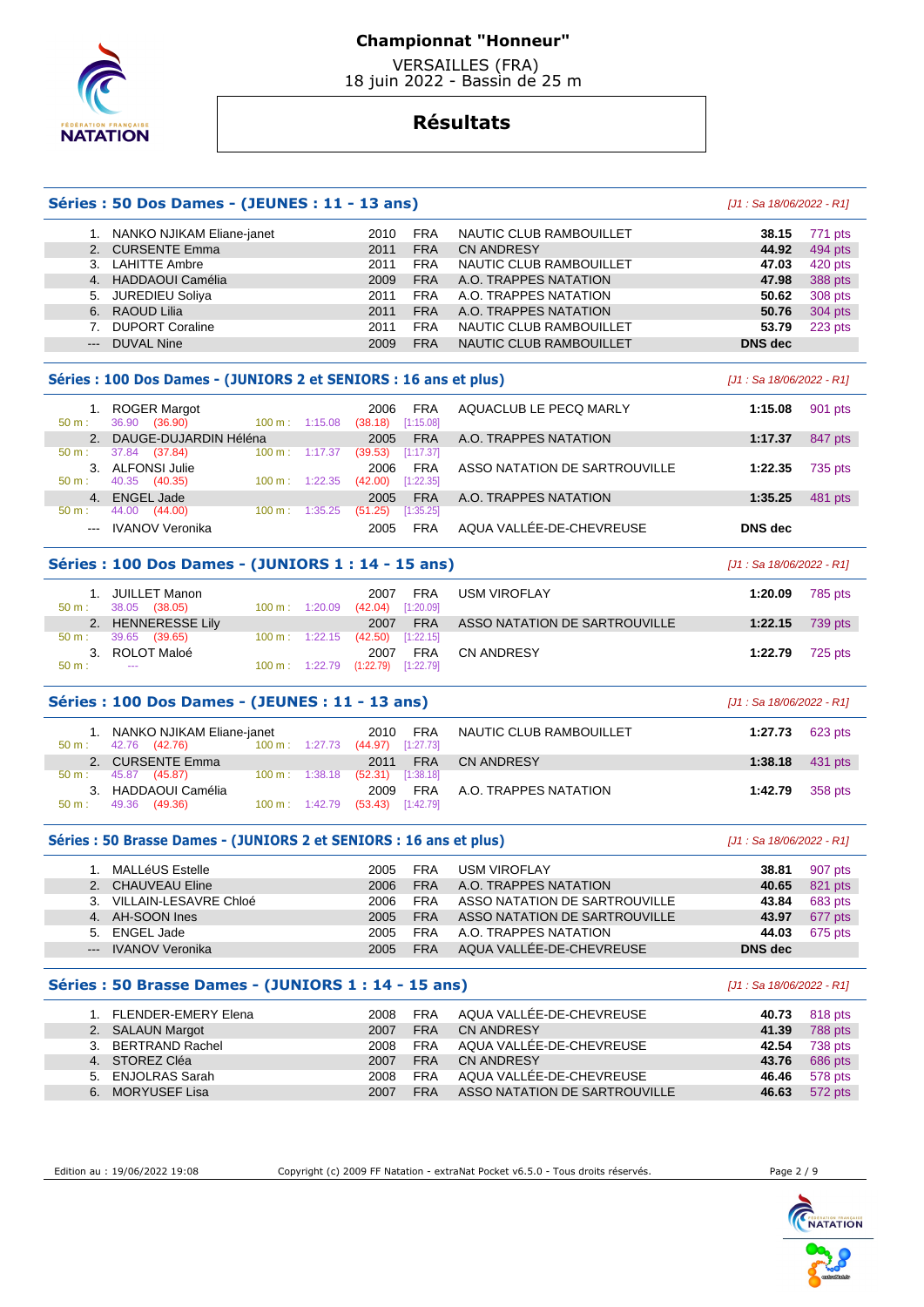

 VERSAILLES (FRA) 18 juin 2022 - Bassin de 25 m

# **Résultats**

## **Séries : 50 Dos Dames - (JEUNES : 11 - 13 ans)** [J1 : Sa 18/06/2022 - R1]

#### 1. NANKO NJIKAM Eliane-janet 2010 FRA NAUTIC CLUB RAMBOUILLET **38.15** 771 pts 2. CURSENTE Emma 2011 FRA CN ANDRESY **44.92** 494 pts 3. LAHITTE Ambre 2011 FRA NAUTIC CLUB RAMBOUILLET **47.03** 420 pts 2009 FRA A.O. TRAPPES NATATION **47.98**  5. JUREDIEU Soliya 2011 FRA A.O. TRAPPES NATATION **50.62** 308 pts 2011 FRA A.O. TRAPPES NATATION 50.76 304 pts 7. DUPORT Coraline 2011 FRA NAUTIC CLUB RAMBOUILLET **53.79** 223 pts --- DUVAL Nine 2009 FRA NAUTIC CLUB RAMBOUILLET **DNS dec**

## **Séries : 100 Dos Dames - (JUNIORS 2 et SENIORS : 16 ans et plus)** [J1 : Sa 18/06/2022 - R1]

| $50 m$ :       | <b>ROGER Margot</b><br>(36.90)<br>36.90 | 1:15.08<br>$100 \text{ m}$ : | <b>FRA</b><br>2006<br>[1:15.08]<br>(38.18) | AQUACLUB LE PECQ MARLY        | 901 pts<br>1:15.08 |
|----------------|-----------------------------------------|------------------------------|--------------------------------------------|-------------------------------|--------------------|
|                | 2. DAUGE-DUJARDIN Héléna                |                              | <b>FRA</b><br>2005                         | A.O. TRAPPES NATATION         | 847 pts<br>1:17.37 |
| $50 m$ :       | 37.84<br>(37.84)                        | $100 \text{ m}$ :<br>1:17.37 | [1:17.37]<br>(39.53)                       |                               |                    |
|                | <b>ALFONSI Julie</b>                    |                              | <b>FRA</b><br>2006                         | ASSO NATATION DE SARTROUVILLE | 735 pts<br>1:22.35 |
| $50 m$ :       | 40.35<br>(40.35)                        | $100 \text{ m}$ :<br>1:22.35 | [1:22.35]<br>(42.00)                       |                               |                    |
| 4 <sup>1</sup> | <b>ENGEL Jade</b>                       |                              | <b>FRA</b><br>2005                         | A.O. TRAPPES NATATION         | 481 pts<br>1:35.25 |
| 50 m:          | 44.00<br>(44.00)                        | 1:35.25<br>100 m:            | [1:35.25]<br>(51.25)                       |                               |                    |
| $---$          | <b>IVANOV Veronika</b>                  |                              | <b>FRA</b><br>2005                         | AQUA VALLÉE-DE-CHEVREUSE      | DNS dec            |

### **Séries : 100 Dos Dames - (JUNIORS 1 : 14 - 15 ans)** [J1 : Sa 18/06/2022 - R1]

| 50 m: | JUILLET Manon<br>38.05 (38.05) | $100 \text{ m}: 1:20.09$  | 2007<br>(42.04)<br>[1:20.09] | <b>FRA</b><br><b>USM VIROFLAY</b>           | 1:20.09 | 785 pts                   |
|-------|--------------------------------|---------------------------|------------------------------|---------------------------------------------|---------|---------------------------|
|       | 2. HENNERESSE Lily             |                           | 2007                         | ASSO NATATION DE SARTROUVILLE<br><b>FRA</b> |         | 1:22.15 $739 \text{ pts}$ |
| 50 m: | 39.65<br>(39.65)               | $100 \text{ m}: 1:22.15$  | (42.50)<br>[1:22.15]         |                                             |         |                           |
|       | 3. ROLOT Maloé                 |                           | 2007                         | <b>FRA</b><br><b>CN ANDRESY</b>             | 1:22.79 | 725 pts                   |
| 50 m: | $- - -$                        | $100 \text{ m}$ : 1:22.79 | [1:22.79]<br>(1:22.79)       |                                             |         |                           |

## **Séries : 100 Dos Dames - (JEUNES : 11 - 13 ans)** [J1 : Sa 18/06/2022 - R1]

| 1. NANKO NJIKAM Eliane-janet<br>42.76 (42.76)<br>$100 \text{ m}: 1:27.73$<br>$50 \text{ m}$ : | FRA<br>2010<br>(44.97)<br>[1:27.73] | NAUTIC CLUB RAMBOUILLET | 1:27.73                | 623 pts |
|-----------------------------------------------------------------------------------------------|-------------------------------------|-------------------------|------------------------|---------|
| 2. CURSENTE Emma                                                                              | <b>FRA</b><br>2011                  | <b>CN ANDRESY</b>       | <b>1:38.18</b> 431 pts |         |
| 100 m: 1:38.18<br>45.87 (45.87)<br>50 m :                                                     | $(52.31)$ $[1:38.18]$               |                         |                        |         |
| HADDAOUI Camélia<br>3.                                                                        | FRA<br>2009                         | A.O. TRAPPES NATATION   | 1:42.79 358 pts        |         |
| $100 \text{ m}: 1:42.79$<br>49.36 (49.36)<br>$50 m$ :                                         | $(53.43)$ $[1:42.79]$               |                         |                        |         |

#### **Séries : 50 Brasse Dames - (JUNIORS 2 et SENIORS : 16 ans et plus)** [J1 : Sa 18/06/2022 - R1]

| MALLéUS Estelle          | 2005 | <b>FRA</b> | <b>USM VIROFLAY</b>           | 38.81   | 907 pts |
|--------------------------|------|------------|-------------------------------|---------|---------|
| 2. CHAUVEAU Eline        | 2006 | <b>FRA</b> | A.O. TRAPPES NATATION         | 40.65   | 821 pts |
| 3. VILLAIN-LESAVRE Chloé | 2006 | <b>FRA</b> | ASSO NATATION DE SARTROUVILLE | 43.84   | 683 pts |
| 4. AH-SOON Ines          | 2005 | <b>FRA</b> | ASSO NATATION DE SARTROUVILLE | 43.97   | 677 pts |
| 5. ENGEL Jade            | 2005 | <b>FRA</b> | A.O. TRAPPES NATATION         | 44.03   | 675 pts |
| --- IVANOV Veronika      | 2005 | <b>FRA</b> | AQUA VALLÉE-DE-CHEVREUSE      | DNS dec |         |
|                          |      |            |                               |         |         |

### **Séries : 50 Brasse Dames - (JUNIORS 1 : 14 - 15 ans)** [J1 : Sa 18/06/2022 - R1]

|  | 1. FLENDER-EMERY Elena | 2008 | FRA        | AQUA VALLÉE-DE-CHEVREUSE      | 40.73 | 818 pts |
|--|------------------------|------|------------|-------------------------------|-------|---------|
|  | 2. SALAUN Margot       | 2007 | <b>FRA</b> | <b>CN ANDRESY</b>             | 41.39 | 788 pts |
|  | 3. BERTRAND Rachel     | 2008 | <b>FRA</b> | AQUA VALLÉE-DE-CHEVREUSE      | 42.54 | 738 pts |
|  | 4. STOREZ Cléa         | 2007 | <b>FRA</b> | <b>CN ANDRESY</b>             | 43.76 | 686 pts |
|  | 5. ENJOLRAS Sarah      | 2008 | <b>FRA</b> | AQUA VALLÉE-DE-CHEVREUSE      | 46.46 | 578 pts |
|  | 6. MORYUSEF Lisa       | 2007 | <b>FRA</b> | ASSO NATATION DE SARTROUVILLE | 46.63 | 572 pts |
|  |                        |      |            |                               |       |         |

ľ

Edition au : 19/06/2022 19:08 Copyright (c) 2009 FF Natation - extraNat Pocket v6.5.0 - Tous droits réservés. Page 2 / 9

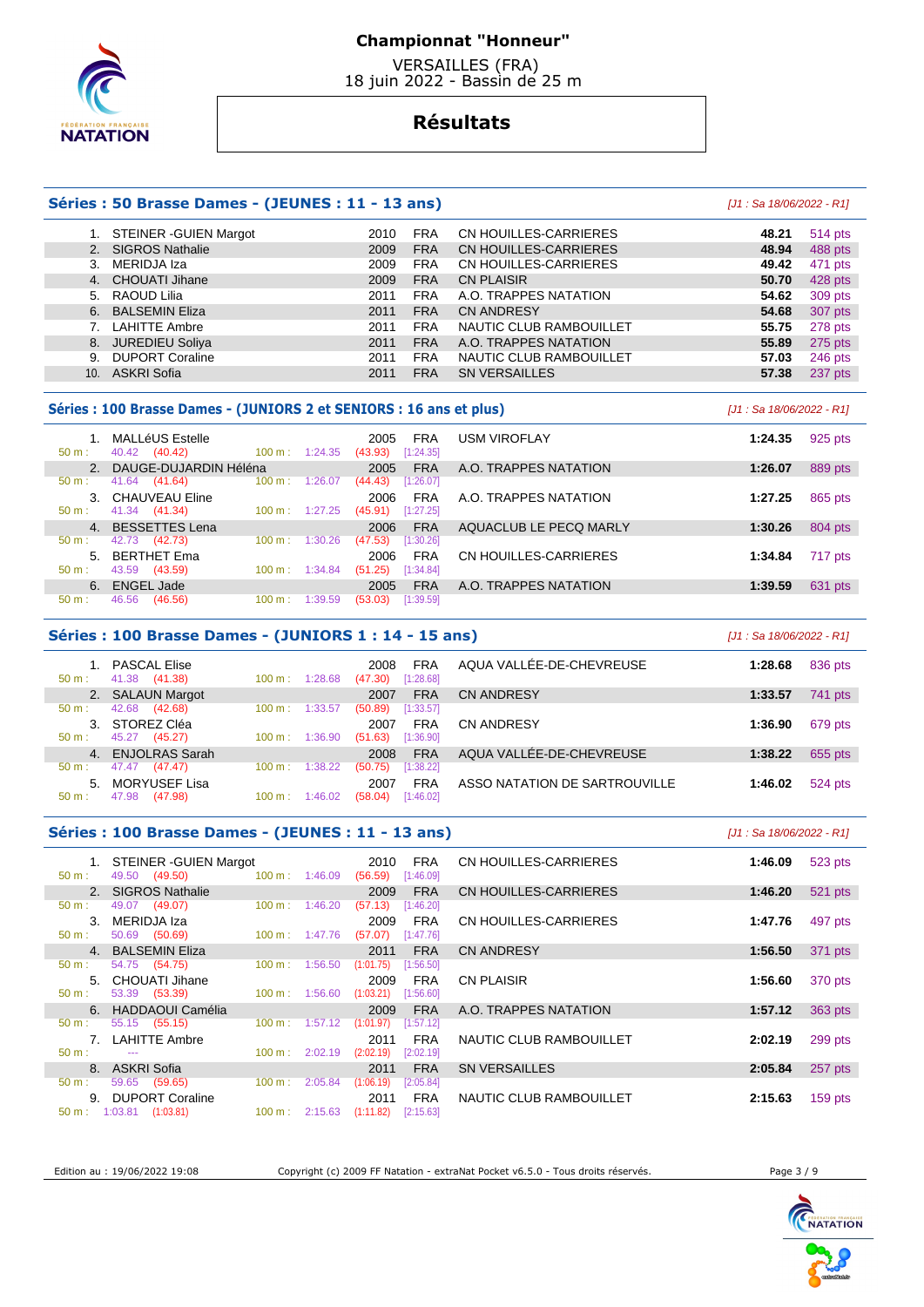

 VERSAILLES (FRA) 18 juin 2022 - Bassin de 25 m

# **Résultats**

## **Séries : 50 Brasse Dames - (JEUNES : 11 - 13 ans)** [J1 : Sa 18/06/2022 - R1]

#### 1. STEINER -GUIEN Margot 2010 FRA CN HOUILLES-CARRIERES **48.21** 514 pts 2. SIGROS Nathalie **2009 FRA CN HOUILLES-CARRIERES 48.94**  3. MERIDJA Iza 2009 FRA CN HOUILLES-CARRIERES **49.42** 471 pts 4. CHOUATI Jihane 2009 FRA CN PLAISIR **50.70** 428 pts 5. RAOUD Lilia 2011 FRA A.O. TRAPPES NATATION **54.62** 309 pts 6. BALSEMIN Eliza 2011 FRA CN ANDRESY **54.68** 307 pts 7. LAHITTE Ambre 2011 FRA NAUTIC CLUB RAMBOUILLET **55.75** 278 pts 8. JUREDIEU Soliya 2011 FRA A.O. TRAPPES NATATION **55.89** 275 pts 9. DUPORT Coraline **57.03 2011 FRA NAUTIC CLUB RAMBOUILLET** 57.03 10. ASKRI Sofia 2011 FRA SN VERSAILLES **57.38** 237 pts

#### **Séries : 100 Brasse Dames - (JUNIORS 2 et SENIORS : 16 ans et plus)** [J1 : Sa 18/06/2022 - R1]

| 50 m:            | MALLéUS Estelle<br>(40.42)<br>40.42 | $100 \text{ m}$ :<br>1:24.35 | FRA<br>2005<br>[1:24.35]<br>(43.93) | <b>USM VIROFLAY</b>    | 1:24.35 | 925 pts |
|------------------|-------------------------------------|------------------------------|-------------------------------------|------------------------|---------|---------|
|                  | 2. DAUGE-DUJARDIN Héléna            |                              | <b>FRA</b><br>2005                  | A.O. TRAPPES NATATION  | 1:26.07 | 889 pts |
| $50 m$ :         | (41.64)<br>41.64                    | $100 \text{ m}$ :<br>1:26.07 | [1:26.07]<br>(44.43)                |                        |         |         |
|                  | 3. CHAUVEAU Eline                   |                              | <b>FRA</b><br>2006                  | A.O. TRAPPES NATATION  | 1:27.25 | 865 pts |
| 50 m:            | 41.34 (41.34)                       | 1:27.25<br>$100 \text{ m}$ : | [1:27.25]<br>(45.91)                |                        |         |         |
|                  | 4. BESSETTES Lena                   |                              | <b>FRA</b><br>2006                  | AQUACLUB LE PECO MARLY | 1:30.26 | 804 pts |
| $50 \text{ m}$ : | 42.73<br>(42.73)                    | 100 m:<br>1:30.26            | (47.53)<br>[1:30.26]                |                        |         |         |
| 5.               | <b>BERTHET Ema</b>                  |                              | <b>FRA</b><br>2006                  | CN HOUILLES-CARRIERES  | 1:34.84 | 717 pts |
| $50 m$ :         | 43.59<br>(43.59)                    | 1:34.84<br>$100 \text{ m}$ : | (51.25)<br>[1:34.84]                |                        |         |         |
| 6.               | <b>ENGEL Jade</b>                   |                              | <b>FRA</b><br>2005                  | A.O. TRAPPES NATATION  | 1:39.59 | 631 pts |
| 50 m:            | (46.56)<br>46.56                    | 100 m:<br>1:39.59            | (53.03)<br>[1:39.59]                |                        |         |         |

### **Séries : 100 Brasse Dames - (JUNIORS 1 : 14 - 15 ans)** [J1 : Sa 18/06/2022 - R1]

| 50 m:        | <b>PASCAL Elise</b><br>(41.38)<br>41.38 | 100 m:<br>1:28.68 | <b>FRA</b><br>2008<br>[1:28.68]<br>(47.30) | AQUA VALLÉE-DE-CHEVREUSE      | 1:28.68 | 836 pts |
|--------------|-----------------------------------------|-------------------|--------------------------------------------|-------------------------------|---------|---------|
|              | 2. SALAUN Margot                        |                   | <b>FRA</b><br>2007                         | <b>CN ANDRESY</b>             | 1:33.57 | 741 pts |
| $50 m$ :     | 42.68<br>(42.68)                        | 100 m:<br>1:33.57 | [1:33.57]<br>(50.89)                       |                               |         |         |
| 3.           | STOREZ Cléa                             |                   | <b>FRA</b><br>2007                         | <b>CN ANDRESY</b>             | 1:36.90 | 679 pts |
| $50 m$ :     | 45.27<br>(45.27)                        | 1:36.90<br>100 m: | (51.63)<br>[1:36.90]                       |                               |         |         |
| $\mathbf{4}$ | <b>ENJOLRAS Sarah</b>                   |                   | <b>FRA</b><br>2008                         | AQUA VALLÉE-DE-CHEVREUSE      | 1:38.22 | 655 pts |
| $50 m$ :     | 47.47<br>(47.47)                        | 1:38.22<br>100 m: | [1:38.22]<br>(50.75)                       |                               |         |         |
| 5.           | MORYUSEF Lisa                           |                   | <b>FRA</b><br>2007                         | ASSO NATATION DE SARTROUVILLE | 1:46.02 | 524 pts |
| $50 m$ :     | (47.98)<br>47.98                        | 1:46.02<br>100 m: | [1:46.02]<br>(58.04)                       |                               |         |         |

## **Séries : 100 Brasse Dames - (JEUNES : 11 - 13 ans)** [J1 : Sa 18/06/2022 - R1]

| 1. STEINER - GUIEN Margot         |                              | <b>FRA</b><br>2010     | CN HOUILLES-CARRIERES        | 1:46.09 | 523 pts   |
|-----------------------------------|------------------------------|------------------------|------------------------------|---------|-----------|
| 49.50 (49.50)<br>$50 m$ :         | $100 \text{ m}$ :<br>1:46.09 | (56.59)<br>[1:46.09]   |                              |         |           |
| 2. SIGROS Nathalie                |                              | <b>FRA</b><br>2009     | <b>CN HOUILLES-CARRIERES</b> | 1:46.20 | 521 pts   |
| 49.07 (49.07)<br>50 m:            | 1:46.20<br>$100 \text{ m}$ : | (57.13)<br>[1:46.20]   |                              |         |           |
| 3. MERIDJA Iza                    |                              | <b>FRA</b><br>2009     | CN HOUILLES-CARRIERES        | 1:47.76 | 497 pts   |
| 50.69 (50.69)<br>$50 m$ :         | 1:47.76<br>$100 \text{ m}$ : | (57.07)<br>[1:47.76]   |                              |         |           |
| 4. BALSEMIN Eliza                 |                              | <b>FRA</b><br>2011     | <b>CN ANDRESY</b>            | 1:56.50 | 371 pts   |
| 54.75 (54.75)<br>50 m:            | 1:56.50<br>$100 \text{ m}$ : | (1:01.75)<br>[1:56.50] |                              |         |           |
| 5. CHOUATI Jihane                 |                              | <b>FRA</b><br>2009     | <b>CN PLAISIR</b>            | 1:56.60 | 370 pts   |
| 53.39 (53.39)<br>$50 m$ :         | $100 \text{ m}: 1:56.60$     | (1:03.21)<br>[1:56.60] |                              |         |           |
| 6. HADDAOUI Camélia               |                              | <b>FRA</b><br>2009     | A.O. TRAPPES NATATION        | 1:57.12 | 363 pts   |
| 55.15 (55.15)<br>$50 m$ :         | 1:57.12<br>$100 \text{ m}$ : | (1:01.97)<br>[1:57.12] |                              |         |           |
| 7. LAHITTE Ambre                  |                              | <b>FRA</b><br>2011     | NAUTIC CLUB RAMBOUILLET      | 2:02.19 | 299 pts   |
| $50 m$ :<br>$- - -$               | $100 \text{ m}$ :<br>2:02.19 | (2:02.19)<br>[2:02.19] |                              |         |           |
| 8. ASKRI Sofia                    |                              | <b>FRA</b><br>2011     | <b>SN VERSAILLES</b>         | 2:05.84 | 257 pts   |
| 59.65 (59.65)<br>$50 m$ :         | 2:05.84<br>100 m:            | (1:06.19)<br>[2:05.84] |                              |         |           |
| <b>DUPORT Coraline</b><br>9.      |                              | <b>FRA</b><br>2011     | NAUTIC CLUB RAMBOUILLET      | 2:15.63 | $159$ pts |
| $50 \text{ m}: 1:03.81$ (1:03.81) | $100 \text{ m}: 2:15.63$     | (1:11.82)<br>[2:15.63] |                              |         |           |

Edition au : 19/06/2022 19:08 Copyright (c) 2009 FF Natation - extraNat Pocket v6.5.0 - Tous droits réservés. Page 3 / 9



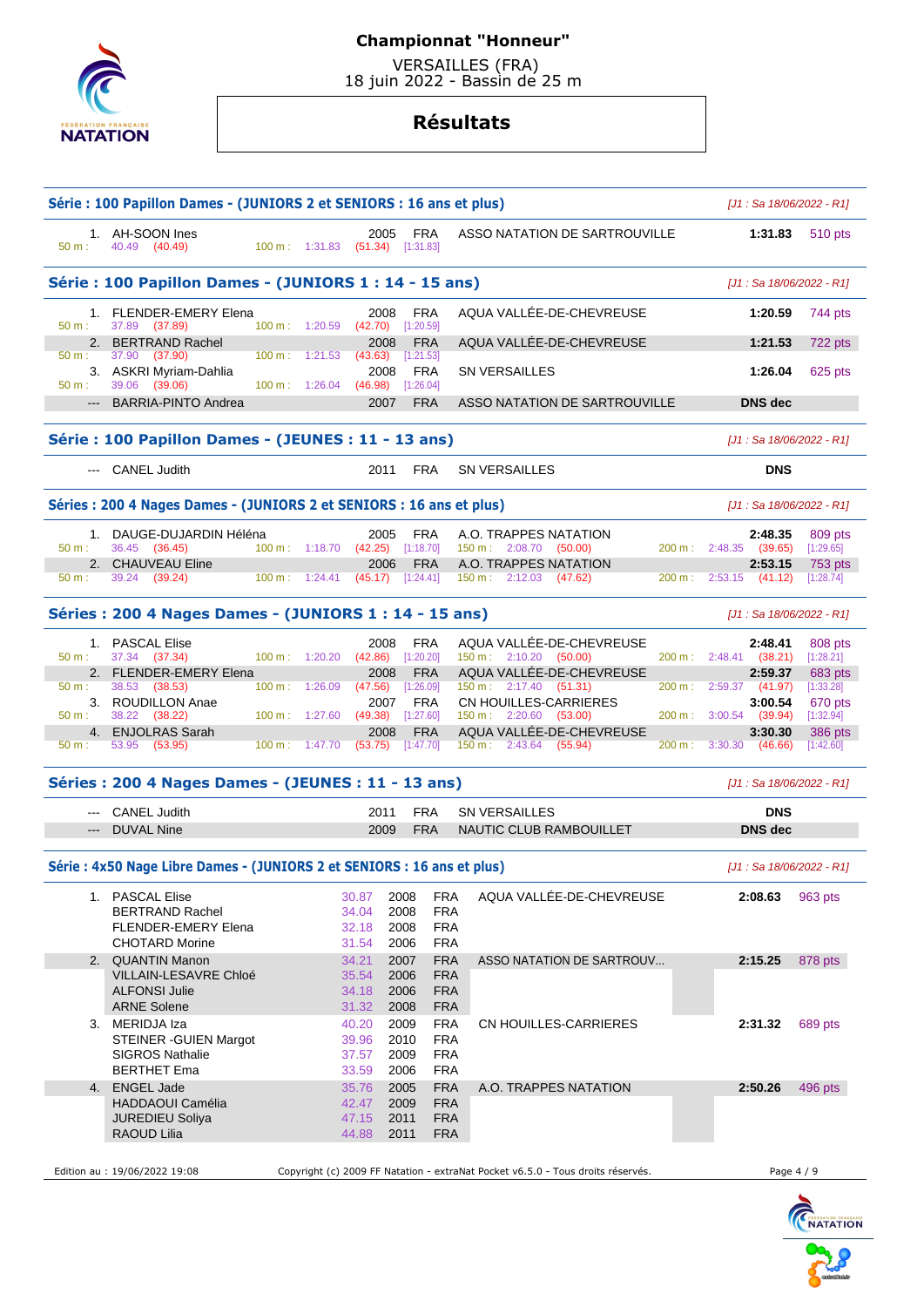

 VERSAILLES (FRA) 18 juin 2022 - Bassin de 25 m

|             | Série : 100 Papillon Dames - (JUNIORS 2 et SENIORS : 16 ans et plus)    |                              |                                                 |                                        |                                                                                 |         | [J1 : Sa 18/06/2022 - R1]         |                      |  |
|-------------|-------------------------------------------------------------------------|------------------------------|-------------------------------------------------|----------------------------------------|---------------------------------------------------------------------------------|---------|-----------------------------------|----------------------|--|
| 50 m:       | 1. AH-SOON Ines<br>40.49 (40.49)                                        | 100 m: 1:31.83               | 2005<br>$(51.34)$ [1:31.83]                     | <b>FRA</b>                             | ASSO NATATION DE SARTROUVILLE                                                   |         | 1:31.83                           | 510 pts              |  |
|             | Série : 100 Papillon Dames - (JUNIORS 1 : 14 - 15 ans)                  |                              |                                                 |                                        |                                                                                 |         | $[J1: Sa 18/06/2022 - R1]$        |                      |  |
| 50 m:       | 1. FLENDER-EMERY Elena<br>37.89 (37.89)                                 | 100 m: 1:20.59               | 2008<br>(42.70)                                 | <b>FRA</b><br>[1:20.59]                | AQUA VALLÉE-DE-CHEVREUSE                                                        |         | 1:20.59                           | 744 pts              |  |
| 50 m:       | 2. BERTRAND Rachel<br>37.90<br>(37.90)                                  | $100 \text{ m}: 1:21.53$     | 2008<br>(43.63)                                 | <b>FRA</b><br>[1:21.53]                | AQUA VALLÉE-DE-CHEVREUSE                                                        |         | 1:21.53                           | 722 pts              |  |
| $50 m$ :    | 3. ASKRI Myriam-Dahlia<br>(39.06)<br>39.06                              | 100 m: 1:26.04               | 2008<br>(46.98)                                 | <b>FRA</b><br>[1:26.04]                | <b>SN VERSAILLES</b>                                                            |         | 1:26.04                           | 625 pts              |  |
| $---$       | <b>BARRIA-PINTO Andrea</b>                                              |                              | 2007                                            | <b>FRA</b>                             | ASSO NATATION DE SARTROUVILLE                                                   |         | <b>DNS</b> dec                    |                      |  |
|             | Série : 100 Papillon Dames - (JEUNES : 11 - 13 ans)                     |                              |                                                 |                                        |                                                                                 |         | $[J1: Sa 18/06/2022 - R1]$        |                      |  |
|             | --- CANEL Judith                                                        |                              | 2011                                            | FRA                                    | <b>SN VERSAILLES</b>                                                            |         | <b>DNS</b>                        |                      |  |
|             | Séries : 200 4 Nages Dames - (JUNIORS 2 et SENIORS : 16 ans et plus)    |                              |                                                 |                                        |                                                                                 |         | $[J1: Sa 18/06/2022 - R1]$        |                      |  |
| $50 m$ :    | 1. DAUGE-DUJARDIN Héléna                                                | 100 m: 1:18.70               | 2005<br>(42.25)                                 | <b>FRA</b>                             | A.O. TRAPPES NATATION<br>150 m: 2:08.70 (50.00)                                 |         | 2:48.35<br>200 m: 2:48.35 (39.65) | 809 pts              |  |
|             | 36.45 (36.45)<br>2. CHAUVEAU Eline                                      |                              | 2006                                            | [1:18.70]<br><b>FRA</b>                | A.O. TRAPPES NATATION                                                           |         | 2:53.15                           | [1:29.65]<br>753 pts |  |
| 50 m:       | 39.24 (39.24)                                                           | $100 \text{ m}: 1:24.41$     | (45.17)                                         | [1:24.41]                              | $150 \text{ m}: 2:12.03$ (47.62)                                                | 200 m : | $2:53.15$ (41.12)                 | [1:28.74]            |  |
|             | Séries: 200 4 Nages Dames - (JUNIORS 1 : 14 - 15 ans)                   |                              |                                                 |                                        |                                                                                 |         | $[J1: Sa 18/06/2022 - R1]$        |                      |  |
| $50 m$ :    | 1. PASCAL Elise<br>37.34 (37.34)                                        | 100 m: 1:20.20               | 2008<br>(42.86)                                 | <b>FRA</b><br>[1:20.20]                | AQUA VALLÉE-DE-CHEVREUSE<br>$150 \text{ m}: 2:10.20$ (50.00)                    |         | 2:48.41<br>200 m: 2:48.41 (38.21) | 808 pts<br>[1:28.21] |  |
|             | 2. FLENDER-EMERY Elena                                                  |                              | 2008                                            | <b>FRA</b>                             | AQUA VALLÉE-DE-CHEVREUSE                                                        |         | 2:59.37                           | 683 pts              |  |
| 50 m:       | 38.53 (38.53)<br>3. ROUDILLON Anae                                      | $100 \text{ m}$ :<br>1:26.09 | (47.56)<br>2007                                 | [1:26.09]<br><b>FRA</b>                | 150 m : 2:17.40 (51.31)<br>CN HOUILLES-CARRIERES                                | 200 m : | 2:59.37 (41.97)<br>3:00.54        | [1:33.28]<br>670 pts |  |
| $50 m$ :    | 38.22 (38.22)                                                           | 100 m: 1:27.60               | (49.38)                                         | [1:27.60]                              | $150 \text{ m}: 2:20.60$ (53.00)                                                |         | 200 m: 3:00.54 (39.94)            | [1:32.94]            |  |
| 4.<br>50 m: | <b>ENJOLRAS Sarah</b><br>53.95<br>(53.95)                               | 100 m: 1:47.70               | 2008<br>(53.75)                                 | <b>FRA</b><br>[1:47.70]                | AQUA VALLÉE-DE-CHEVREUSE<br>$150 \text{ m}: 2:43.64$ (55.94)                    | 200 m:  | 3:30.30<br>3:30.30<br>(46.66)     | 386 pts<br>[1:42.60] |  |
|             | Séries: 200 4 Nages Dames - (JEUNES: 11 - 13 ans)                       |                              |                                                 |                                        |                                                                                 |         | [J1 : Sa 18/06/2022 - R1]         |                      |  |
|             | <b>CANEL Judith</b>                                                     |                              | 2011                                            | <b>FRA</b>                             | <b>SN VERSAILLES</b>                                                            |         | <b>DNS</b>                        |                      |  |
|             | --- DUVAL Nine                                                          |                              | 2009                                            | <b>FRA</b>                             | NAUTIC CLUB RAMBOUILLET                                                         |         | <b>DNS</b> dec                    |                      |  |
|             | Série : 4x50 Nage Libre Dames - (JUNIORS 2 et SENIORS : 16 ans et plus) |                              |                                                 |                                        |                                                                                 |         | $[J1: Sa 18/06/2022 - R1]$        |                      |  |
|             | 1. PASCAL Elise                                                         |                              | 30.87<br>2008                                   | <b>FRA</b>                             | AQUA VALLÉE-DE-CHEVREUSE                                                        |         | 2:08.63                           | 963 pts              |  |
|             | <b>BERTRAND Rachel</b>                                                  |                              | 34.04<br>2008                                   | <b>FRA</b>                             |                                                                                 |         |                                   |                      |  |
|             | <b>FLENDER-EMERY Elena</b><br><b>CHOTARD Morine</b>                     |                              | 2008<br>32.18<br>31.54<br>2006                  | <b>FRA</b><br><b>FRA</b>               |                                                                                 |         |                                   |                      |  |
| 2.          | <b>QUANTIN Manon</b>                                                    | 34.21                        | 2007                                            | <b>FRA</b>                             | ASSO NATATION DE SARTROUV                                                       |         | 2:15.25                           | 878 pts              |  |
|             | <b>VILLAIN-LESAVRE Chloé</b><br><b>ALFONSI Julie</b>                    |                              | 35.54<br>2006<br>2006<br>34.18                  | <b>FRA</b><br><b>FRA</b>               |                                                                                 |         |                                   |                      |  |
|             | <b>ARNE Solene</b>                                                      |                              | 2008<br>31.32                                   | <b>FRA</b>                             |                                                                                 |         |                                   |                      |  |
|             | 3. MERIDJA Iza                                                          |                              | 40.20<br>2009                                   | <b>FRA</b>                             | CN HOUILLES-CARRIERES                                                           |         | 2:31.32                           | 689 pts              |  |
|             | STEINER - GUIEN Margot<br><b>SIGROS Nathalie</b><br><b>BERTHET Ema</b>  |                              | 2010<br>39.96<br>37.57<br>2009<br>33.59<br>2006 | <b>FRA</b><br><b>FRA</b><br><b>FRA</b> |                                                                                 |         |                                   |                      |  |
| 4.          | <b>ENGEL Jade</b>                                                       |                              | 35.76<br>2005                                   | <b>FRA</b>                             | A.O. TRAPPES NATATION                                                           |         | 2:50.26                           | 496 pts              |  |
|             | HADDAOUI Camélia                                                        |                              | 42.47<br>2009                                   | <b>FRA</b>                             |                                                                                 |         |                                   |                      |  |
|             | <b>JUREDIEU Soliya</b><br>RAOUD Lilia                                   |                              | 47.15<br>2011<br>44.88<br>2011                  | <b>FRA</b><br><b>FRA</b>               |                                                                                 |         |                                   |                      |  |
|             | Edition au : 19/06/2022 19:08                                           |                              |                                                 |                                        | Copyright (c) 2009 FF Natation - extraNat Pocket v6.5.0 - Tous droits réservés. |         | Page 4 / 9                        |                      |  |
|             |                                                                         |                              |                                                 |                                        |                                                                                 |         |                                   |                      |  |

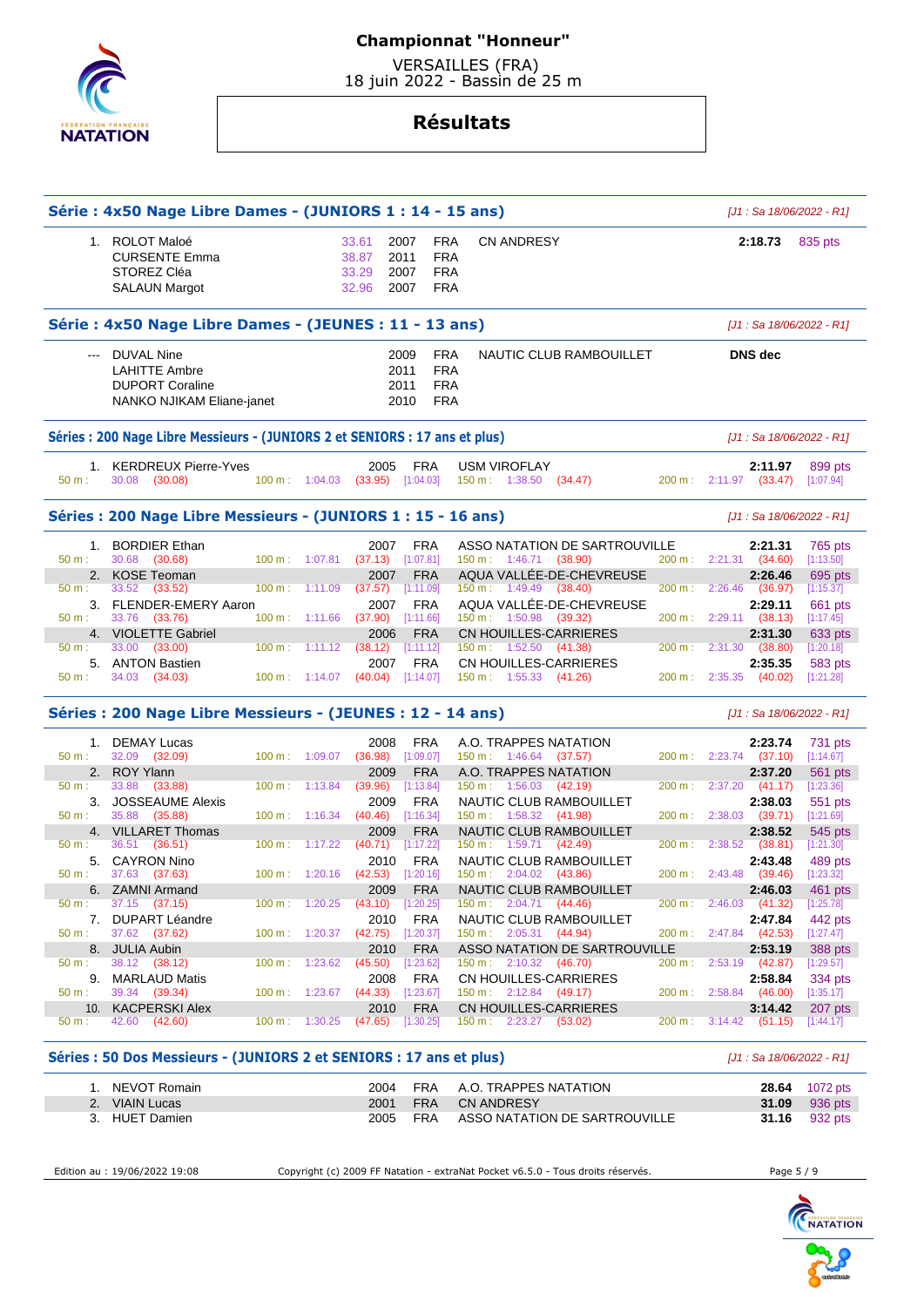

 VERSAILLES (FRA) 18 juin 2022 - Bassin de 25 m

# **Résultats**

|                       | Série : 4x50 Nage Libre Dames - (JUNIORS 1 : 14 - 15 ans)                                        |                                            |                    |                                                    |                                                                                      |                                                                                                                      |                     | $[J1: Sa 18/06/2022 - R1]$                                              |                                              |
|-----------------------|--------------------------------------------------------------------------------------------------|--------------------------------------------|--------------------|----------------------------------------------------|--------------------------------------------------------------------------------------|----------------------------------------------------------------------------------------------------------------------|---------------------|-------------------------------------------------------------------------|----------------------------------------------|
|                       | 1. ROLOT Maloé<br><b>CURSENTE Emma</b><br>STOREZ Cléa<br><b>SALAUN Margot</b>                    |                                            |                    | 33.61<br>38.87<br>33.29<br>32.96                   | <b>FRA</b><br>2007<br><b>FRA</b><br>2011<br><b>FRA</b><br>2007<br><b>FRA</b><br>2007 | CN ANDRESY                                                                                                           |                     | 2:18.73                                                                 | 835 pts                                      |
|                       | Série : 4x50 Nage Libre Dames - (JEUNES : 11 - 13 ans)                                           |                                            |                    |                                                    |                                                                                      |                                                                                                                      |                     | $[J1: Sa 18/06/2022 - R1]$                                              |                                              |
| $\cdots$              | <b>DUVAL Nine</b><br><b>LAHITTE Ambre</b><br><b>DUPORT Coraline</b><br>NANKO NJIKAM Eliane-janet |                                            |                    |                                                    | 2009<br><b>FRA</b><br><b>FRA</b><br>2011<br><b>FRA</b><br>2011<br><b>FRA</b><br>2010 | NAUTIC CLUB RAMBOUILLET                                                                                              |                     | <b>DNS</b> dec                                                          |                                              |
|                       | Séries: 200 Nage Libre Messieurs - (JUNIORS 2 et SENIORS : 17 ans et plus)                       |                                            |                    |                                                    |                                                                                      |                                                                                                                      |                     | $[J1: Sa 18/06/2022 - R1]$                                              |                                              |
| $50 m$ :              | 1. KERDREUX Pierre-Yves<br>30.08 (30.08)                                                         | $100 \text{ m}: 1:04.03$                   |                    | 2005<br>$(33.95)$ [1:04.03]                        | <b>FRA</b>                                                                           | <b>USM VIROFLAY</b><br>150 m : 1:38.50 (34.47)                                                                       |                     | 2:11.97<br>200 m : 2:11.97 (33.47)                                      | 899 pts<br>[1:07.94]                         |
|                       | Séries: 200 Nage Libre Messieurs - (JUNIORS 1: 15 - 16 ans)                                      |                                            |                    |                                                    |                                                                                      |                                                                                                                      |                     | [J1 : Sa 18/06/2022 - R1]                                               |                                              |
| 50 m:                 | 1. BORDIER Ethan<br>30.68 (30.68)                                                                | 100 m:                                     | 1:07.81            | 2007<br>(37.13)                                    | <b>FRA</b><br>[1:07.81]                                                              | ASSO NATATION DE SARTROUVILLE<br>$150 \text{ m}: 1:46.71$ (38.90)<br>AQUA VALLÉE-DE-CHEVREUSE                        |                     | 2:21.31<br>$200 \text{ m}: 2:21.31 (34.60)$                             | 765 pts<br>[1:13.50]                         |
| 50 m:<br>$50 m$ :     | 2. KOSE Teoman<br>33.52 (33.52)<br>3. FLENDER-EMERY Aaron                                        | $100 \text{ m}: 1:11.09$                   |                    | 2007<br>(37.57)<br>2007                            | <b>FRA</b><br>[1:11.09]<br><b>FRA</b>                                                | $150 \text{ m}: 1:49.49$ (38.40)<br>AQUA VALLÉE-DE-CHEVREUSE                                                         | 200 m:              | 2:26.46<br>$2:26.46$ (36.97)<br>2:29.11                                 | 695 pts<br>[1:15.37]<br>661 pts              |
| 50 m:                 | 33.76 (33.76)<br>4. VIOLETTE Gabriel<br>33.00<br>(33.00)                                         | $100 \text{ m}: 1:11.66$<br>100 m:         | 1:11.12            | (37.90)<br>2006<br>(38.12)                         | [1:11.66]<br><b>FRA</b><br>[1:11.12]                                                 | 150 m: 1:50.98 (39.32)<br>CN HOUILLES-CARRIERES<br>$150 \text{ m}: 1:52.50$<br>(41.38)                               | 200 m :             | 200 m: 2:29.11 (38.13)<br>2:31.30<br>2:31.30<br>(38.80)                 | [1:17.45]<br>633 pts<br>[1:20.18]            |
| 50 m:                 | 5. ANTON Bastien<br>34.03 (34.03)                                                                | $100 \text{ m}: 1:14.07$                   |                    | 2007<br>(40.04)                                    | <b>FRA</b><br>[1:14.07]                                                              | CN HOUILLES-CARRIERES<br>$150 \text{ m}: 1:55.33$ (41.26)                                                            |                     | 2:35.35<br>200 m: 2:35.35 (40.02)                                       | 583 pts<br>[1:21.28]                         |
|                       | Séries : 200 Nage Libre Messieurs - (JEUNES : 12 - 14 ans)                                       |                                            |                    |                                                    |                                                                                      |                                                                                                                      |                     | [J1 : Sa 18/06/2022 - R1]                                               |                                              |
| 1.<br>50 m:           | DEMAY Lucas<br>32.09 (32.09)                                                                     | 100 m: 1:09.07                             |                    | 2008<br>(36.98)                                    | FRA<br>[1:09.07]                                                                     | A.O. TRAPPES NATATION<br>150 m : 1:46.64 (37.57)                                                                     |                     | 2:23.74<br>200 m : 2:23.74 (37.10)                                      | 731 pts<br>[1:14.67]                         |
| 50 m:<br>3.           | 2. ROY Ylann<br>33.88<br>(33.88)<br><b>JOSSEAUME Alexis</b>                                      | 100 m:                                     | 1:13.84            | 2009<br>(39.96)<br>2009                            | <b>FRA</b><br>[1:13.84]<br><b>FRA</b>                                                | A.O. TRAPPES NATATION<br>150 m: 1:56.03 (42.19)<br>NAUTIC CLUB RAMBOUILLET                                           | 200 m:              | 2:37.20<br>$2:37.20$ (41.17)<br>2:38.03                                 | 561 pts<br>[1:23.36]<br>551 pts              |
| 50 m:<br>4.<br>50 m:  | 35.88<br>(35.88)<br><b>VILLARET Thomas</b><br>36.51<br>(36.51)                                   | 100 m:<br>$100 m$ :                        | 1:16.34<br>1:17.22 | (40.46)<br>2009<br>(40.71)                         | [1:16.34]<br><b>FRA</b><br>[1:17.22]                                                 | 150 m: 1:58.32<br>(41.98)<br>NAUTIC CLUB RAMBOUILLET<br>150 m:<br>1:59.71<br>(42.49)                                 | $200 m$ :<br>200 m: | 2:38.03<br>(39.71)<br>2:38.52<br>$2:38.52$ (38.81)                      | [1:21.69]<br>545 pts<br>[1:21.30]            |
| 50 m:                 | 5. CAYRON Nino<br>37.63 (37.63)<br>6. ZAMNI Armand                                               | $100 m$ : 1:20.16                          |                    | 2010<br>(42.53)<br>2009                            | <b>FRA</b><br>[1:20.16]<br><b>FRA</b>                                                | NAUTIC CLUB RAMBOUILLET<br>$150 \text{ m}: 2:04.02$ (43.86)<br>NAUTIC CLUB RAMBOUILLET                               | 200 m:              | 2:43.48<br>2:43.48 (39.46)<br>2:46.03                                   | 489 pts<br>[1:23.32]<br>461 pts              |
| 50 m:<br>50 m:        | $37.15$ $(37.15)$<br>7. DUPART Léandre<br>37.62 (37.62)                                          | 100 m:<br>$100 \text{ m}: 1:20.37$         | 1:20.25            | $(43.10)$ [1:20.25]<br>2010<br>$(42.75)$ [1:20.37] | <b>FRA</b>                                                                           | $150 \text{ m}: \quad 2:04.71 \quad (44.46)$<br>NAUTIC CLUB RAMBOUILLET<br>150 m: 2:05.31 (44.94)                    | 200 m:<br>$200 m$ : | 2:46.03 (41.32) [1:25.78]<br>2:47.84<br>$2:47.84$ (42.53)               | 442 pts<br>[1:27.47]                         |
| 50 m:                 | 8. JULIA Aubin<br>38.12 (38.12)                                                                  | 100 m:                                     | 1:23.62            | 2010<br>(45.50)                                    | <b>FRA</b><br>[1:23.62]                                                              | ASSO NATATION DE SARTROUVILLE<br>$150 \text{ m}: 2:10.32 (46.70)$                                                    | 200 m :             | 2:53.19<br>$2:53.19$ (42.87)                                            | <b>388 pts</b><br>$[1:29.57]$                |
| 50 m:<br>10.<br>50 m: | 9. MARLAUD Matis<br>39.34 (39.34)<br><b>KACPERSKI Alex</b><br>42.60 (42.60)                      | 100 m: 1:23.67<br>$100 \text{ m}: 1:30.25$ |                    | 2008<br>(44.33)<br>2010<br>(47.65)                 | <b>FRA</b><br>[1:23.67]<br><b>FRA</b><br>[1:30.25]                                   | CN HOUILLES-CARRIERES<br>$150 \text{ m}: 2:12.84$ (49.17)<br><b>CN HOUILLES-CARRIERES</b><br>150 m : 2:23.27 (53.02) |                     | 2:58.84<br>200 m: 2:58.84 (46.00)<br>3:14.42<br>200 m : 3:14.42 (51.15) | 334 pts<br>[1:35.17]<br>207 pts<br>[1:44.17] |
|                       | Séries : 50 Dos Messieurs - (JUNIORS 2 et SENIORS : 17 ans et plus)                              |                                            |                    |                                                    |                                                                                      |                                                                                                                      |                     | $[J1: Sa 18/06/2022 - R1]$                                              |                                              |
|                       | $NEV\bigcap_{n=1}^{n} P_{nmin}$                                                                  |                                            |                    | 2004                                               | <b>CDA</b>                                                                           | A O TRADDEC MATATION                                                                                                 |                     | <b>20 CA</b>                                                            | 1072m                                        |

 1. NEVOT Romain 2004 FRA A.O. TRAPPES NATATION **28.64** 1072 pts **31.09** 936 pts 3. HUET Damien 2005 FRA ASSO NATATION DE SARTROUVILLE **31.16** 932 pts

Edition au : 19/06/2022 19:08 Copyright (c) 2009 FF Natation - extraNat Pocket v6.5.0 - Tous droits réservés. Page 5 / 9

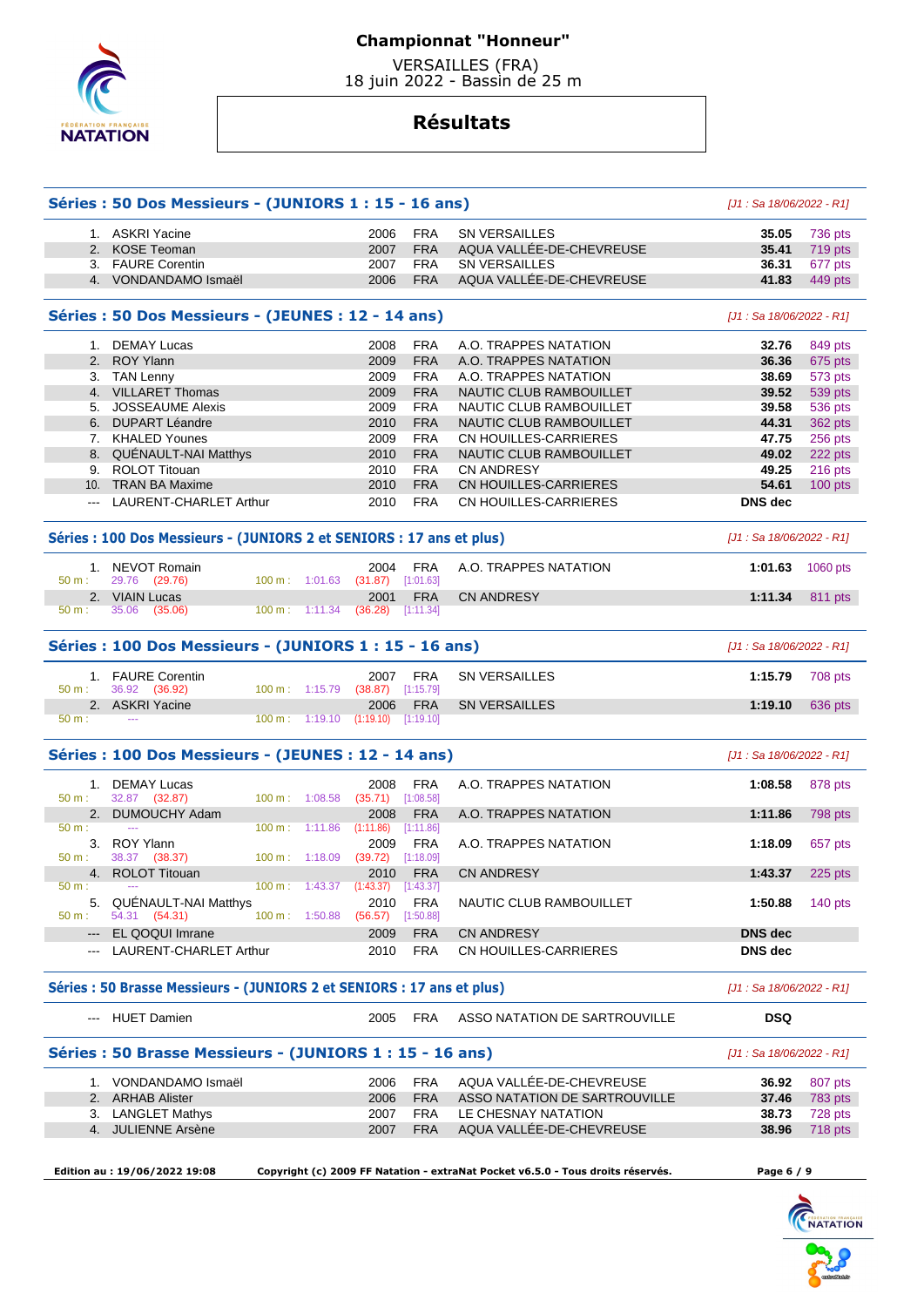

 VERSAILLES (FRA) 18 juin 2022 - Bassin de 25 m

|                                                                                                                                                                                                                                                                                                                                                                                                                                                                            | 1. ASKRI Yacine                                                        |                          | 2006                                       | <b>FRA</b>               | SN VERSAILLES                                   | 35.05                            | 736 pts                                                                            |
|----------------------------------------------------------------------------------------------------------------------------------------------------------------------------------------------------------------------------------------------------------------------------------------------------------------------------------------------------------------------------------------------------------------------------------------------------------------------------|------------------------------------------------------------------------|--------------------------|--------------------------------------------|--------------------------|-------------------------------------------------|----------------------------------|------------------------------------------------------------------------------------|
|                                                                                                                                                                                                                                                                                                                                                                                                                                                                            | 2. KOSE Teoman                                                         |                          | 2007                                       | <b>FRA</b>               | AQUA VALLÉE-DE-CHEVREUSE                        | 35.41                            | 719 pts                                                                            |
|                                                                                                                                                                                                                                                                                                                                                                                                                                                                            | 3. FAURE Corentin                                                      |                          | 2007                                       | <b>FRA</b>               | <b>SN VERSAILLES</b>                            | 36.31                            | 677 pts                                                                            |
|                                                                                                                                                                                                                                                                                                                                                                                                                                                                            | 4. VONDANDAMO Ismaël                                                   |                          | 2006                                       | <b>FRA</b>               | AQUA VALLÉE-DE-CHEVREUSE                        | 41.83                            | 449 pts                                                                            |
|                                                                                                                                                                                                                                                                                                                                                                                                                                                                            | Séries : 50 Dos Messieurs - (JEUNES : 12 - 14 ans)                     |                          |                                            |                          |                                                 | [J1 : Sa 18/06/2022 - R1]        |                                                                                    |
|                                                                                                                                                                                                                                                                                                                                                                                                                                                                            | 1. DEMAY Lucas                                                         |                          | 2008                                       | <b>FRA</b>               | A.O. TRAPPES NATATION                           | 32.76                            | 849 pts                                                                            |
|                                                                                                                                                                                                                                                                                                                                                                                                                                                                            | 2. ROY Ylann                                                           |                          |                                            | <b>FRA</b>               |                                                 |                                  |                                                                                    |
|                                                                                                                                                                                                                                                                                                                                                                                                                                                                            |                                                                        |                          | 2009                                       |                          | A.O. TRAPPES NATATION                           | 36.36                            | 675 pts                                                                            |
|                                                                                                                                                                                                                                                                                                                                                                                                                                                                            | 3. TAN Lenny                                                           |                          | 2009                                       | <b>FRA</b>               | A.O. TRAPPES NATATION                           | 38.69                            | 573 pts                                                                            |
|                                                                                                                                                                                                                                                                                                                                                                                                                                                                            | 4. VILLARET Thomas                                                     |                          | 2009                                       | <b>FRA</b>               | NAUTIC CLUB RAMBOUILLET                         | 39.52                            | 539 pts                                                                            |
|                                                                                                                                                                                                                                                                                                                                                                                                                                                                            | 5. JOSSEAUME Alexis                                                    |                          | 2009                                       | <b>FRA</b>               | NAUTIC CLUB RAMBOUILLET                         | 39.58                            | 536 pts                                                                            |
|                                                                                                                                                                                                                                                                                                                                                                                                                                                                            | 6. DUPART Léandre                                                      |                          | 2010                                       | <b>FRA</b>               | NAUTIC CLUB RAMBOUILLET                         | 44.31                            | 362 pts                                                                            |
|                                                                                                                                                                                                                                                                                                                                                                                                                                                                            | 7. KHALED Younes                                                       |                          | 2009                                       | <b>FRA</b>               | CN HOUILLES-CARRIERES                           | 47.75                            | 256 pts                                                                            |
|                                                                                                                                                                                                                                                                                                                                                                                                                                                                            | 8. QUÉNAULT-NAI Matthys                                                |                          | 2010                                       | <b>FRA</b>               | NAUTIC CLUB RAMBOUILLET                         | 49.02                            | 222 pts                                                                            |
|                                                                                                                                                                                                                                                                                                                                                                                                                                                                            | 9. ROLOT Titouan                                                       |                          | 2010                                       | <b>FRA</b>               | <b>CN ANDRESY</b>                               | 49.25                            | $216$ pts                                                                          |
|                                                                                                                                                                                                                                                                                                                                                                                                                                                                            | 10. TRAN BA Maxime                                                     |                          | 2010                                       | <b>FRA</b>               | CN HOUILLES-CARRIERES                           | 54.61                            | 100 pts                                                                            |
|                                                                                                                                                                                                                                                                                                                                                                                                                                                                            | --- LAURENT-CHARLET Arthur                                             |                          | 2010                                       | <b>FRA</b>               | CN HOUILLES-CARRIERES                           | <b>DNS</b> dec                   |                                                                                    |
|                                                                                                                                                                                                                                                                                                                                                                                                                                                                            | Séries : 100 Dos Messieurs - (JUNIORS 2 et SENIORS : 17 ans et plus)   |                          |                                            |                          |                                                 | [J1 : Sa 18/06/2022 - R1]        |                                                                                    |
|                                                                                                                                                                                                                                                                                                                                                                                                                                                                            | 1. NEVOT Romain                                                        |                          | 2004                                       | <b>FRA</b>               | A.O. TRAPPES NATATION                           | 1:01.63                          | 1060 pts                                                                           |
| 50 m:                                                                                                                                                                                                                                                                                                                                                                                                                                                                      | 29.76 (29.76)                                                          | 100 m: 1:01.63           | (31.87)                                    | [1:01.63]                |                                                 |                                  |                                                                                    |
|                                                                                                                                                                                                                                                                                                                                                                                                                                                                            | 2. VIAIN Lucas                                                         |                          | 2001                                       | <b>FRA</b>               | <b>CN ANDRESY</b>                               | 1:11.34                          | 811 pts                                                                            |
| 50 m:                                                                                                                                                                                                                                                                                                                                                                                                                                                                      | 35.06<br>(35.06)                                                       | $100 m$ : 1:11.34        | (36.28)                                    | [1:11.34]                |                                                 |                                  |                                                                                    |
|                                                                                                                                                                                                                                                                                                                                                                                                                                                                            | Séries : 100 Dos Messieurs - (JUNIORS 1 : 15 - 16 ans)                 |                          |                                            |                          |                                                 |                                  |                                                                                    |
|                                                                                                                                                                                                                                                                                                                                                                                                                                                                            |                                                                        |                          |                                            |                          |                                                 | [J1 : Sa 18/06/2022 - R1]        |                                                                                    |
|                                                                                                                                                                                                                                                                                                                                                                                                                                                                            |                                                                        |                          |                                            |                          |                                                 |                                  |                                                                                    |
|                                                                                                                                                                                                                                                                                                                                                                                                                                                                            | 1. FAURE Corentin                                                      | 100 m: 1:15.79           | 2007<br>(38.87)                            | <b>FRA</b><br>[1:15.79]  | <b>SN VERSAILLES</b>                            | 1:15.79                          |                                                                                    |
|                                                                                                                                                                                                                                                                                                                                                                                                                                                                            | 36.92 (36.92)                                                          |                          |                                            |                          |                                                 |                                  |                                                                                    |
|                                                                                                                                                                                                                                                                                                                                                                                                                                                                            | 2. ASKRI Yacine<br>$\sim$                                              |                          | 2006<br>$100 \text{ m}: 1:19.10 (1:19.10)$ | <b>FRA</b><br>[1:19.10]  | <b>SN VERSAILLES</b>                            | 1:19.10                          |                                                                                    |
| 50 m:<br>50 m:                                                                                                                                                                                                                                                                                                                                                                                                                                                             | Séries : 100 Dos Messieurs - (JEUNES : 12 - 14 ans)                    |                          |                                            |                          |                                                 | $[J1: Sa 18/06/2022 - R1]$       | 708 pts<br>636 pts                                                                 |
|                                                                                                                                                                                                                                                                                                                                                                                                                                                                            | 1. DEMAY Lucas                                                         |                          | 2008                                       | <b>FRA</b>               | A.O. TRAPPES NATATION                           | 1:08.58                          |                                                                                    |
|                                                                                                                                                                                                                                                                                                                                                                                                                                                                            | 32.87 (32.87)                                                          | 100 m: 1:08.58           | $(35.71)$ [1:08.58]                        |                          |                                                 |                                  |                                                                                    |
|                                                                                                                                                                                                                                                                                                                                                                                                                                                                            | 2. DUMOUCHY Adam                                                       |                          | 2008                                       |                          | A.O. TRAPPES NATATION                           | 1:11.86                          |                                                                                    |
|                                                                                                                                                                                                                                                                                                                                                                                                                                                                            | $\sim$                                                                 | $100 \text{ m}: 1:11.86$ | (1:11.86)                                  | <b>FRA</b><br>[1:11.86]  |                                                 |                                  |                                                                                    |
|                                                                                                                                                                                                                                                                                                                                                                                                                                                                            |                                                                        |                          |                                            |                          |                                                 |                                  |                                                                                    |
|                                                                                                                                                                                                                                                                                                                                                                                                                                                                            | 3. ROY Ylann                                                           |                          | 2009                                       | <b>FRA</b>               | A.O. TRAPPES NATATION                           | 1:18.09                          |                                                                                    |
|                                                                                                                                                                                                                                                                                                                                                                                                                                                                            | 38.37 (38.37)                                                          | 100 m: 1:18.09           | (39.72)                                    | [1:18.09]                |                                                 |                                  |                                                                                    |
|                                                                                                                                                                                                                                                                                                                                                                                                                                                                            | 4. ROLOT Titouan                                                       |                          | 2010                                       | <b>FRA</b>               | <b>CN ANDRESY</b>                               | 1:43.37                          |                                                                                    |
|                                                                                                                                                                                                                                                                                                                                                                                                                                                                            |                                                                        |                          | 100 m : 1:43.37 (1:43.37) [1:43.37]        |                          |                                                 |                                  |                                                                                    |
|                                                                                                                                                                                                                                                                                                                                                                                                                                                                            | 5. QUÉNAULT-NAI Matthys                                                |                          | 2010                                       | FRA                      | NAUTIC CLUB RAMBOUILLET                         | 1:50.88                          |                                                                                    |
|                                                                                                                                                                                                                                                                                                                                                                                                                                                                            | 54.31 (54.31)                                                          | 100 m: 1:50.88           | $(56.57)$ [1:50.88]                        |                          |                                                 |                                  |                                                                                    |
| $\frac{1}{2} \left( \frac{1}{2} \right) \left( \frac{1}{2} \right) \left( \frac{1}{2} \right) \left( \frac{1}{2} \right) \left( \frac{1}{2} \right) \left( \frac{1}{2} \right) \left( \frac{1}{2} \right) \left( \frac{1}{2} \right) \left( \frac{1}{2} \right) \left( \frac{1}{2} \right) \left( \frac{1}{2} \right) \left( \frac{1}{2} \right) \left( \frac{1}{2} \right) \left( \frac{1}{2} \right) \left( \frac{1}{2} \right) \left( \frac{1}{2} \right) \left( \frac$ | EL QOQUI Imrane<br>LAURENT-CHARLET Arthur                              |                          | 2009<br>2010                               | <b>FRA</b><br><b>FRA</b> | <b>CN ANDRESY</b><br>CN HOUILLES-CARRIERES      | <b>DNS</b> dec<br><b>DNS</b> dec |                                                                                    |
|                                                                                                                                                                                                                                                                                                                                                                                                                                                                            |                                                                        |                          |                                            |                          |                                                 |                                  |                                                                                    |
|                                                                                                                                                                                                                                                                                                                                                                                                                                                                            | Séries : 50 Brasse Messieurs - (JUNIORS 2 et SENIORS : 17 ans et plus) |                          |                                            |                          |                                                 | $[J1: Sa 18/06/2022 - R1]$       |                                                                                    |
|                                                                                                                                                                                                                                                                                                                                                                                                                                                                            | --- HUET Damien                                                        |                          | 2005                                       | FRA                      | ASSO NATATION DE SARTROUVILLE                   | <b>DSQ</b>                       |                                                                                    |
|                                                                                                                                                                                                                                                                                                                                                                                                                                                                            | Séries : 50 Brasse Messieurs - (JUNIORS 1 : 15 - 16 ans)               |                          |                                            |                          |                                                 | $[J1: Sa 18/06/2022 - R1]$       |                                                                                    |
|                                                                                                                                                                                                                                                                                                                                                                                                                                                                            | 1. VONDANDAMO Ismaël                                                   |                          | 2006                                       | <b>FRA</b>               | AQUA VALLÉE-DE-CHEVREUSE                        | 36.92                            |                                                                                    |
|                                                                                                                                                                                                                                                                                                                                                                                                                                                                            | 2. ARHAB Alister                                                       |                          | 2006                                       | <b>FRA</b>               | ASSO NATATION DE SARTROUVILLE                   | 37.46                            | 878 pts<br>798 pts<br>657 pts<br>$225$ pts<br>140 pts<br>807 pts<br><b>783 pts</b> |
| 50 m:<br>$50 m$ :<br>50 m:<br>50 m:<br>50 m:                                                                                                                                                                                                                                                                                                                                                                                                                               | 3. LANGLET Mathys<br>4. JULIENNE Arsène                                |                          | 2007<br>2007                               | FRA<br><b>FRA</b>        | LE CHESNAY NATATION<br>AQUA VALLÉE-DE-CHEVREUSE | 38.73<br>38.96                   | 728 pts<br>718 pts                                                                 |

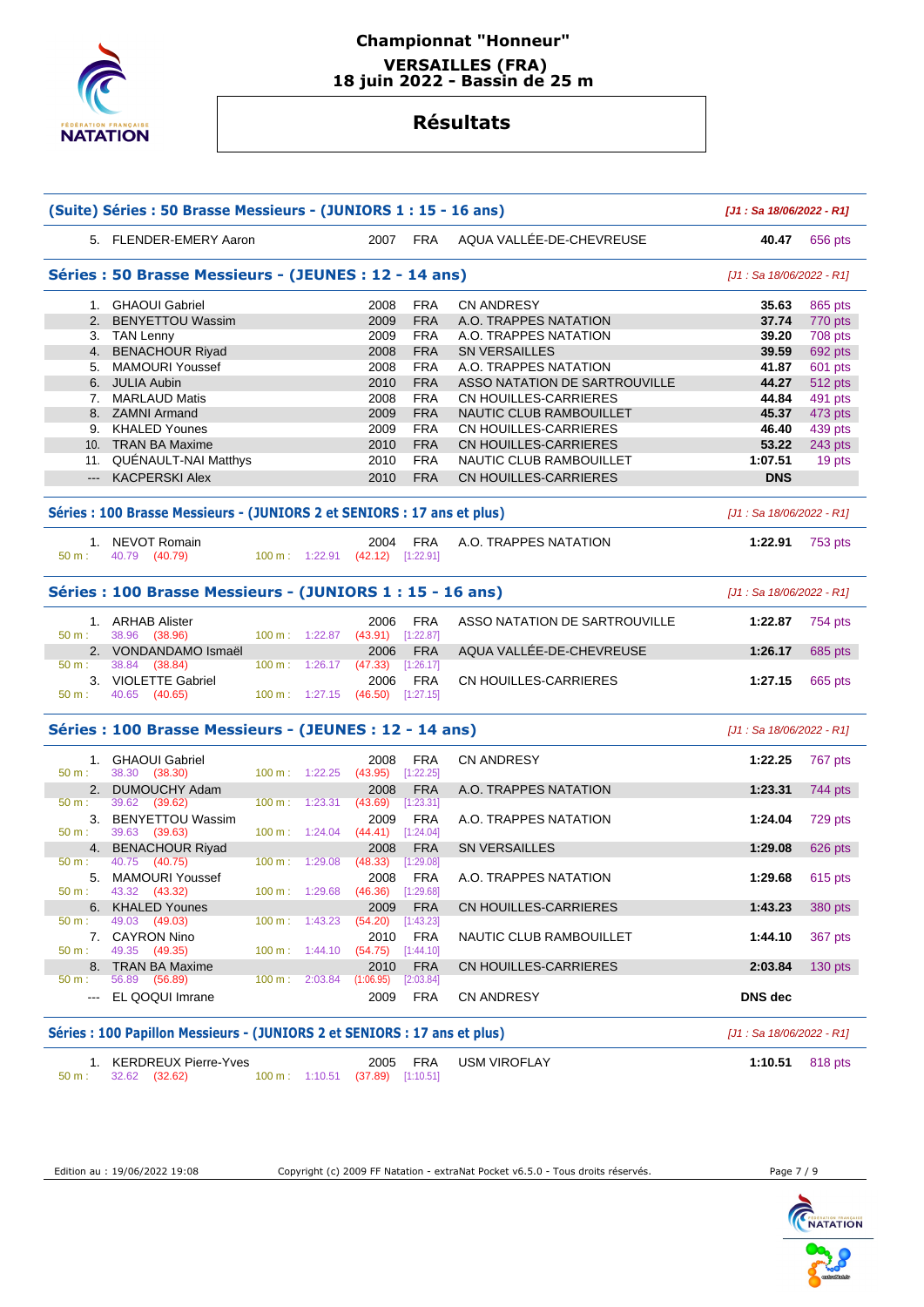

## **Championnat "Honneur" VERSAILLES (FRA) 18 juin 2022 - Bassin de 25 m**

# **Résultats**

|                   | (Suite) Séries : 50 Brasse Messieurs - (JUNIORS 1 : 15 - 16 ans)          |                                  |                             |                         |                               | [J1: Sa 18/06/2022 - R1]  |               |
|-------------------|---------------------------------------------------------------------------|----------------------------------|-----------------------------|-------------------------|-------------------------------|---------------------------|---------------|
|                   | 5. FLENDER-EMERY Aaron                                                    |                                  |                             | 2007 FRA                | AQUA VALLÉE-DE-CHEVREUSE      |                           | 40.47 656 pts |
|                   | Séries : 50 Brasse Messieurs - (JEUNES : 12 - 14 ans)                     |                                  |                             |                         |                               | [J1 : Sa 18/06/2022 - R1] |               |
|                   | 1. GHAOUI Gabriel                                                         |                                  | 2008                        | <b>FRA</b>              | <b>CN ANDRESY</b>             | 35.63                     | 865 pts       |
|                   | 2. BENYETTOU Wassim                                                       |                                  | 2009                        | <b>FRA</b>              | A.O. TRAPPES NATATION         | 37.74                     | 770 pts       |
|                   | 3. TAN Lenny                                                              |                                  | 2009                        | <b>FRA</b>              | A.O. TRAPPES NATATION         | 39.20                     | 708 pts       |
|                   | 4. BENACHOUR Riyad                                                        |                                  | 2008                        | <b>FRA</b>              | <b>SN VERSAILLES</b>          | 39.59                     | 692 pts       |
|                   | 5. MAMOURI Youssef                                                        |                                  | 2008                        | <b>FRA</b>              | A.O. TRAPPES NATATION         | 41.87                     | 601 pts       |
|                   | 6. JULIA Aubin                                                            |                                  | 2010                        | <b>FRA</b>              | ASSO NATATION DE SARTROUVILLE | 44.27                     | 512 pts       |
|                   | 7. MARLAUD Matis                                                          |                                  | 2008                        | <b>FRA</b>              | CN HOUILLES-CARRIERES         | 44.84                     | 491 pts       |
|                   | 8. ZAMNI Armand                                                           |                                  | 2009                        | <b>FRA</b>              | NAUTIC CLUB RAMBOUILLET       | 45.37                     | 473 pts       |
|                   | 9. KHALED Younes                                                          |                                  | 2009                        | <b>FRA</b>              | CN HOUILLES-CARRIERES         | 46.40                     | 439 pts       |
|                   | 10. TRAN BA Maxime                                                        |                                  | 2010                        | <b>FRA</b>              | CN HOUILLES-CARRIERES         | 53.22                     | 243 pts       |
|                   | 11. QUÉNAULT-NAI Matthys                                                  |                                  | 2010                        | <b>FRA</b>              | NAUTIC CLUB RAMBOUILLET       | 1:07.51                   | 19 pts        |
|                   | --- KACPERSKI Alex                                                        |                                  | 2010                        | <b>FRA</b>              | CN HOUILLES-CARRIERES         | <b>DNS</b>                |               |
|                   | Séries : 100 Brasse Messieurs - (JUNIORS 2 et SENIORS : 17 ans et plus)   |                                  |                             |                         |                               | [J1 : Sa 18/06/2022 - R1] |               |
| 50 m:             | 1. NEVOT Romain<br>40.79 (40.79)                                          | 100 m: 1:22.91 (42.12) [1:22.91] | 2004                        | <b>FRA</b>              | A.O. TRAPPES NATATION         | 1:22.91                   | 753 pts       |
|                   | Séries : 100 Brasse Messieurs - (JUNIORS 1 : 15 - 16 ans)                 |                                  |                             |                         |                               | [J1 : Sa 18/06/2022 - R1] |               |
| 50 m:             | 1. ARHAB Alister<br>38.96 (38.96)                                         | 100 m: 1:22.87 (43.91) [1:22.87] | 2006                        | <b>FRA</b>              | ASSO NATATION DE SARTROUVILLE | 1:22.87                   | 754 pts       |
|                   | 2. VONDANDAMO Ismaël                                                      |                                  | 2006                        | <b>FRA</b>              | AQUA VALLÉE-DE-CHEVREUSE      | 1:26.17                   | 685 pts       |
| 50 m:             | 38.84 (38.84)                                                             | $100 \text{ m}: 1:26.17$         | $(47.33)$ [1:26.17]         |                         |                               |                           |               |
| 50 m:             | 3. VIOLETTE Gabriel<br>40.65 (40.65)                                      | 100 m: 1:27.15 (46.50) [1:27.15] | 2006                        | <b>FRA</b>              | CN HOUILLES-CARRIERES         | 1:27.15                   | 665 pts       |
|                   | Séries : 100 Brasse Messieurs - (JEUNES : 12 - 14 ans)                    |                                  |                             |                         |                               | [J1 : Sa 18/06/2022 - R1] |               |
| 50 m:             | 1. GHAOUI Gabriel<br>38.30 (38.30)                                        | $100 m$ : 1:22.25                | 2008<br>$(43.95)$ [1:22.25] | FRA                     | <b>CN ANDRESY</b>             | 1:22.25                   | 767 pts       |
|                   | 2. DUMOUCHY Adam                                                          |                                  | 2008                        | <b>FRA</b>              | A.O. TRAPPES NATATION         | 1:23.31                   | 744 pts       |
| 50 m :            | 39.62 (39.62)                                                             | 100 m: 1:23.31                   | (43.69)                     | $[1:23.31]$             |                               |                           |               |
| 50 m:             | 3. BENYETTOU Wassim<br>39.63 (39.63)                                      | 100 m: 1:24.04                   | 2009<br>$(44.41)$ [1:24.04] | <b>FRA</b>              | A.O. TRAPPES NATATION         | 1:24.04                   | 729 pts       |
|                   | 4. BENACHOUR Riyad                                                        |                                  | 2008                        | <b>FRA</b>              | <b>SN VERSAILLES</b>          | 1:29.08                   | 626 pts       |
| $50 \text{ m}$ :  | 40.75 (40.75)                                                             | 100 m: 1:29.08                   | (48.33)                     | [1:29.08]               |                               |                           |               |
|                   | 5. MAMOURI Youssef                                                        |                                  | 2008                        | <b>FRA</b>              | A.O. TRAPPES NATATION         | 1:29.68                   | 615 pts       |
| 50 m:             | 43.32 (43.32)                                                             | $100 \text{ m}: 1:29.68$         | $(46.36)$ [1:29.68]         |                         |                               |                           |               |
|                   | 6. KHALED Younes                                                          |                                  | 2009                        | <b>FRA</b>              | CN HOUILLES-CARRIERES         | 1:43.23                   | 380 pts       |
| 50 m:             | 49.03<br>(49.03)                                                          | 100 m: 1:43.23                   | (54.20)                     | [1:43.23]               |                               |                           |               |
|                   | 7. CAYRON Nino                                                            |                                  | 2010                        | <b>FRA</b>              | NAUTIC CLUB RAMBOUILLET       | 1:44.10                   | 367 pts       |
| 50 m:             | 49.35 (49.35)                                                             | $100 m$ : $1:44.10$              | $(54.75)$ [1:44.10]         |                         |                               |                           |               |
|                   | 8. TRAN BA Maxime                                                         |                                  | 2010                        | <b>FRA</b>              | CN HOUILLES-CARRIERES         | 2:03.84                   | $130$ pts     |
| 50 m:<br>$\cdots$ | 56.89 (56.89)<br>EL QOQUI Imrane                                          | $100 m$ : 2:03.84                | (1:06.95)<br>2009           | [2:03.84]<br><b>FRA</b> | CN ANDRESY                    | DNS dec                   |               |
|                   |                                                                           |                                  |                             |                         |                               | [J1 : Sa 18/06/2022 - R1] |               |
|                   | Séries : 100 Papillon Messieurs - (JUNIORS 2 et SENIORS : 17 ans et plus) |                                  |                             |                         |                               |                           |               |
| 50 m:             | 1. KERDREUX Pierre-Yves<br>32.62 (32.62)                                  | 100 m: 1:10.51                   | 2005<br>(37.89)             | <b>FRA</b><br>[1:10.51] | USM VIROFLAY                  | 1:10.51                   | 818 pts       |

Edition au : 19/06/2022 19:08 Copyright (c) 2009 FF Natation - extraNat Pocket v6.5.0 - Tous droits réservés. Page 7 / 9

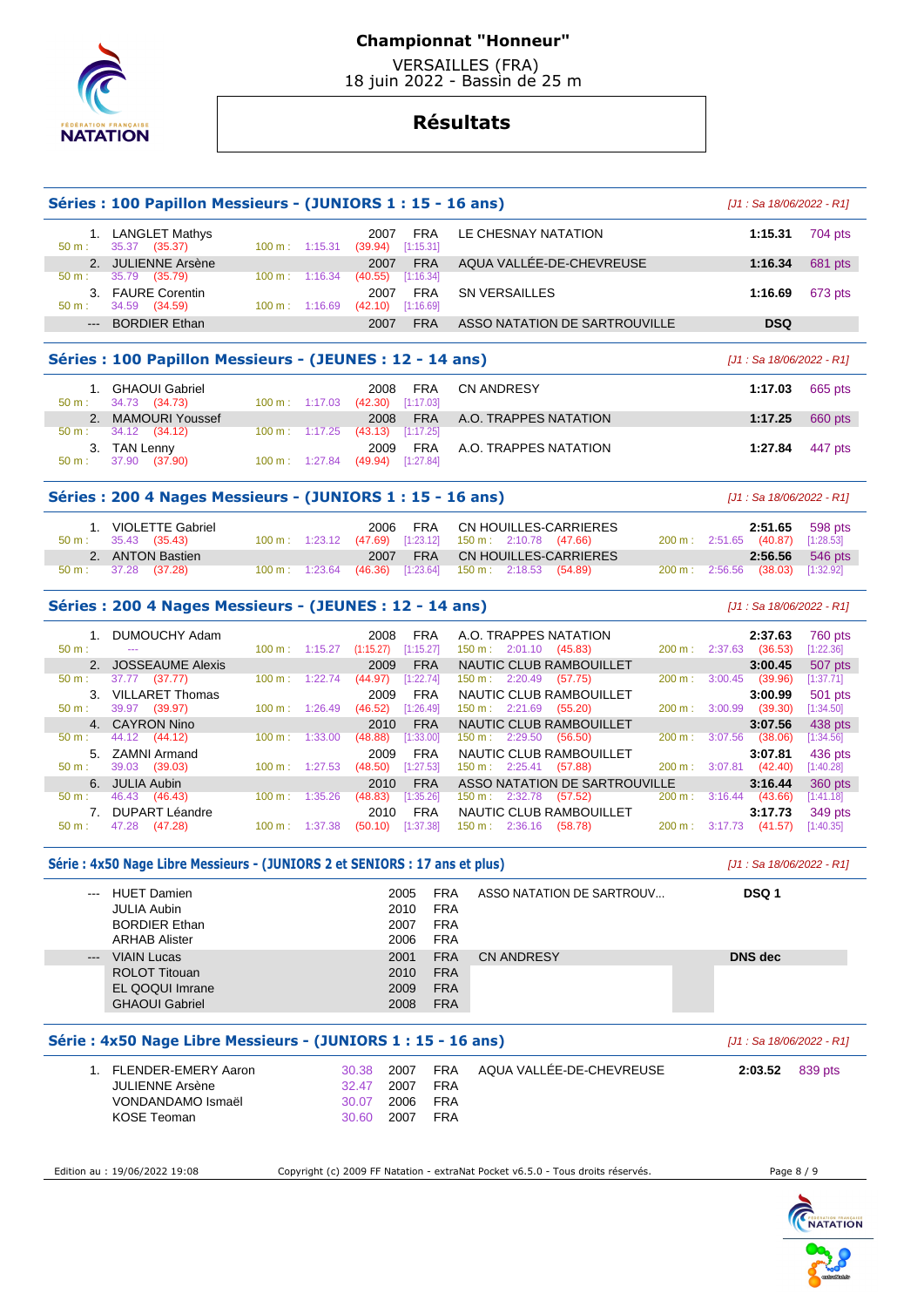

 VERSAILLES (FRA) 18 juin 2022 - Bassin de 25 m

|                  | Séries : 100 Papillon Messieurs - (JUNIORS 1 : 15 - 16 ans)                 |                          |         |                   |                         |                          |                                                 |                                                                                 |        |                |                                    | [J1 : Sa 18/06/2022 - R1] |
|------------------|-----------------------------------------------------------------------------|--------------------------|---------|-------------------|-------------------------|--------------------------|-------------------------------------------------|---------------------------------------------------------------------------------|--------|----------------|------------------------------------|---------------------------|
| 50 m:            | 1. LANGLET Mathys<br>35.37 (35.37)                                          | 100 m: 1:15.31           |         | 2007<br>(39.94)   | FRA<br>[1:15.31]        |                          | LE CHESNAY NATATION                             |                                                                                 |        |                | 1:15.31                            | 704 pts                   |
|                  | 2. JULIENNE Arsène                                                          |                          |         | 2007              | <b>FRA</b>              |                          |                                                 | AQUA VALLEE-DE-CHEVREUSE                                                        |        |                | 1:16.34                            | 681 pts                   |
| 50 m:            | 35.79<br>(35.79)<br>3. FAURE Corentin                                       | $100 \text{ m}$ :        | 1:16.34 | (40.55)<br>2007   | [1:16.34]<br><b>FRA</b> |                          | <b>SN VERSAILLES</b>                            |                                                                                 |        |                | 1:16.69                            | 673 pts                   |
| 50 m:            | 34.59 (34.59)                                                               | $100 \text{ m}: 1:16.69$ |         | (42.10)           | [1:16.69]               |                          |                                                 |                                                                                 |        |                |                                    |                           |
|                  | <b>BORDIER Ethan</b>                                                        |                          |         | 2007              | <b>FRA</b>              |                          |                                                 | ASSO NATATION DE SARTROUVILLE                                                   |        |                | <b>DSQ</b>                         |                           |
|                  | Séries: 100 Papillon Messieurs - (JEUNES: 12 - 14 ans)                      |                          |         |                   |                         |                          |                                                 |                                                                                 |        |                | [J1 : Sa 18/06/2022 - R1]          |                           |
|                  | 1. GHAOUI Gabriel                                                           |                          |         | 2008              | <b>FRA</b>              |                          | <b>CN ANDRESY</b>                               |                                                                                 |        |                | 1:17.03                            | 665 pts                   |
| $50 m$ :<br>2.   | 34.73<br>(34.73)<br><b>MAMOURI Youssef</b>                                  | 100 m: 1:17.03           |         | (42.30)<br>2008   | [1:17.03]<br><b>FRA</b> |                          | A.O. TRAPPES NATATION                           |                                                                                 |        |                | 1:17.25                            | 660 pts                   |
| 50 m:            | 34.12<br>(34.12)                                                            | $100 \text{ m}$ :        | 1:17.25 | (43.13)           | [1:17.25]               |                          |                                                 |                                                                                 |        |                |                                    |                           |
| 50 m:            | 3. TAN Lenny<br>37.90<br>(37.90)                                            | 100 m: 1:27.84           |         | 2009<br>(49.94)   | FRA<br>[1:27.84]        |                          | A.O. TRAPPES NATATION                           |                                                                                 |        |                | 1:27.84                            | 447 pts                   |
|                  |                                                                             |                          |         |                   |                         |                          |                                                 |                                                                                 |        |                |                                    |                           |
|                  | Séries: 200 4 Nages Messieurs - (JUNIORS 1 : 15 - 16 ans)                   |                          |         |                   |                         |                          |                                                 |                                                                                 |        |                | [J1 : Sa 18/06/2022 - R1]          |                           |
| $50 \text{ m}$ : | 1. VIOLETTE Gabriel<br>35.43 (35.43)                                        | $100 m$ : 1:23.12        |         | 2006<br>(47.69)   | FRA<br>[1:23.12]        |                          | CN HOUILLES-CARRIERES<br>150 m: 2:10.78 (47.66) |                                                                                 |        |                | 2:51.65<br>200 m : 2:51.65 (40.87) | 598 pts<br>[1:28.53]      |
|                  | 2. ANTON Bastien                                                            |                          |         | 2007              | <b>FRA</b>              |                          | <b>CN HOUILLES-CARRIERES</b>                    |                                                                                 |        |                | 2:56.56                            | 546 pts                   |
| 50 m:            | 37.28<br>(37.28)                                                            | 100 m: 1:23.64           |         | (46.36)           | [1:23.64]               |                          | 150 m: 2:18.53 (54.89)                          |                                                                                 |        | 200 m: 2:56.56 | (38.03)                            | [1:32.92]                 |
|                  | Séries: 200 4 Nages Messieurs - (JEUNES: 12 - 14 ans)                       |                          |         |                   |                         |                          |                                                 |                                                                                 |        |                | [J1 : Sa 18/06/2022 - R1]          |                           |
| 1.<br>$50 m$ :   | DUMOUCHY Adam<br>$\sim$                                                     |                          |         | 2008              | <b>FRA</b>              |                          | A.O. TRAPPES NATATION                           |                                                                                 |        |                | 2:37.63                            | 760 pts                   |
|                  | 2. JOSSEAUME Alexis                                                         | 100 m:                   | 1:15.27 | (1:15.27)<br>2009 | [1:15.27]<br><b>FRA</b> |                          | $150 \text{ m}: 2:01.10 (45.83)$                | NAUTIC CLUB RAMBOUILLET                                                         |        |                | 200 m: 2:37.63 (36.53)<br>3:00.45  | [1:22.36]<br>507 pts      |
| 50 m:            | 37.77 (37.77)                                                               | 100 m:                   | 1:22.74 | (44.97)           | [1:22.74]               |                          | 150 m : 2:20.49 (57.75)                         |                                                                                 | 200 m: |                | $3:00.45$ (39.96)                  | [1:37.71]                 |
|                  | 3. VILLARET Thomas                                                          |                          |         | 2009              | <b>FRA</b>              |                          |                                                 | NAUTIC CLUB RAMBOUILLET                                                         |        |                | 3:00.99                            | 501 pts                   |
| 50 m:            | 39.97 (39.97)<br>4. CAYRON Nino                                             | $100 \text{ m}: 1:26.49$ |         | (46.52)<br>2010   | [1:26.49]<br><b>FRA</b> |                          | $150 \text{ m}: 2:21.69$                        | (55.20)<br>NAUTIC CLUB RAMBOUILLET                                              | 200 m: | 3:00.99        | (39.30)<br>3:07.56                 | [1:34.50]<br>438 pts      |
| $50 m$ :         | 44.12<br>(44.12)                                                            | 100 m:                   | 1:33.00 | (48.88)           | [1:33.00]               |                          | 150 m: 2:29.50                                  | (56.50)                                                                         | 200 m: | 3:07.56        | (38.06)                            | [1:34.56]                 |
|                  | 5. ZAMNI Armand                                                             |                          |         | 2009              | <b>FRA</b>              |                          |                                                 | NAUTIC CLUB RAMBOUILLET                                                         |        |                | 3:07.81                            | 436 pts                   |
| $50 m$ :         | 39.03<br>(39.03)                                                            | 100 m:                   | 1:27.53 | (48.50)           | [1:27.53]               |                          | 150 m: 2:25.41 (57.88)                          |                                                                                 | 200 m: |                | $3:07.81$ (42.40)                  | [1:40.28]                 |
| 50 m:            | 6. JULIA Aubin<br>46.43 (46.43)                                             | $100 \text{ m}$ :        | 1:35.26 | 2010<br>(48.83)   | <b>FRA</b><br>[1:35.26] |                          | 150 m: 2:32.78                                  | <b>ASSO NATATION DE SARTROUVILLE</b><br>(57.52)                                 | 200 m: |                | 3:16.44<br>$3:16.44$ (43.66)       | 360 pts<br>[1:41.18]      |
| 7.               | <b>DUPART Léandre</b>                                                       |                          |         | 2010              | <b>FRA</b>              |                          |                                                 | NAUTIC CLUB RAMBOUILLET                                                         |        |                | 3:17.73                            | 349 pts                   |
| $50 m$ :         | 47.28<br>(47.28)                                                            | 100 m:                   | 1:37.38 | (50.10)           | [1:37.38]               |                          | 150 m: 2:36.16 (58.78)                          |                                                                                 |        |                | 200 m : 3:17.73 (41.57)            | [1:40.35]                 |
|                  | Série : 4x50 Nage Libre Messieurs - (JUNIORS 2 et SENIORS : 17 ans et plus) |                          |         |                   |                         |                          |                                                 |                                                                                 |        |                | [J1 : Sa 18/06/2022 - R1]          |                           |
|                  | HUET Damien                                                                 |                          |         |                   | 2005                    | <b>FRA</b>               |                                                 | ASSO NATATION DE SARTROUV                                                       |        |                | DSQ 1                              |                           |
|                  | <b>JULIA Aubin</b><br><b>BORDIER Ethan</b>                                  |                          |         |                   | 2010<br>2007            | <b>FRA</b><br><b>FRA</b> |                                                 |                                                                                 |        |                |                                    |                           |
|                  | <b>ARHAB Alister</b>                                                        |                          |         |                   | 2006                    | <b>FRA</b>               |                                                 |                                                                                 |        |                |                                    |                           |
| $---$            | <b>VIAIN Lucas</b>                                                          |                          |         |                   | 2001                    | <b>FRA</b>               | <b>CN ANDRESY</b>                               |                                                                                 |        |                | <b>DNS dec</b>                     |                           |
|                  | <b>ROLOT Titouan</b>                                                        |                          |         |                   | 2010                    | <b>FRA</b>               |                                                 |                                                                                 |        |                |                                    |                           |
|                  | EL QOQUI Imrane                                                             |                          |         |                   | 2009                    | <b>FRA</b>               |                                                 |                                                                                 |        |                |                                    |                           |
|                  | <b>GHAOUI Gabriel</b>                                                       |                          |         |                   | 2008                    | <b>FRA</b>               |                                                 |                                                                                 |        |                |                                    |                           |
|                  | Série: 4x50 Nage Libre Messieurs - (JUNIORS 1 : 15 - 16 ans)                |                          |         |                   |                         |                          |                                                 |                                                                                 |        |                | [J1 : Sa 18/06/2022 - R1]          |                           |
|                  | 1. FLENDER-EMERY Aaron                                                      |                          |         | 30.38             | 2007                    | <b>FRA</b>               |                                                 | AQUA VALLÉE-DE-CHEVREUSE                                                        |        |                | 2:03.52                            | 839 pts                   |
|                  | JULIENNE Arsène                                                             |                          |         | 32.47             | 2007                    | <b>FRA</b>               |                                                 |                                                                                 |        |                |                                    |                           |
|                  | VONDANDAMO Ismaël                                                           |                          |         | 30.07             | 2006                    | FRA                      |                                                 |                                                                                 |        |                |                                    |                           |
|                  | <b>KOSE Teoman</b>                                                          |                          |         | 30.60             | 2007                    | <b>FRA</b>               |                                                 |                                                                                 |        |                |                                    |                           |
|                  |                                                                             |                          |         |                   |                         |                          |                                                 |                                                                                 |        |                |                                    |                           |
|                  | Edition au : 19/06/2022 19:08                                               |                          |         |                   |                         |                          |                                                 | Copyright (c) 2009 FF Natation - extraNat Pocket v6.5.0 - Tous droits réservés. |        |                | Page 8 / 9                         |                           |